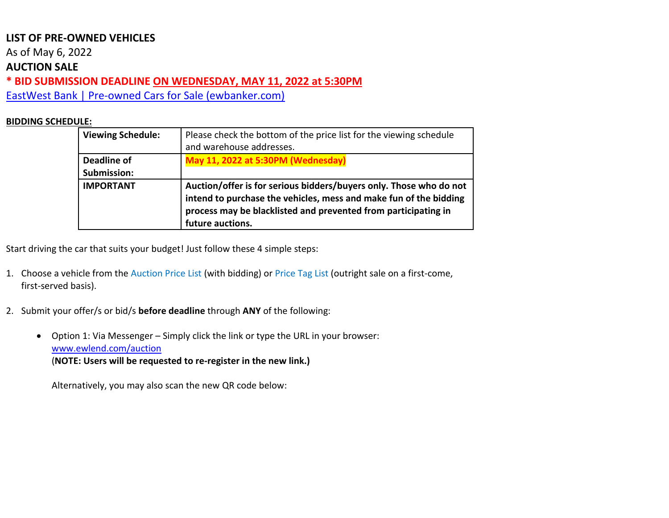As of May 6, 2022

#### **AUCTION SALE**

**\* BID SUBMISSION DEADLINE ON WEDNESDAY, MAY 11, 2022 at 5:30PM** 

[EastWest Bank | Pre-owned Cars for Sale \(ewbanker.com\)](https://www.ewbanker.com/Loans/PreOwned/Cars)

#### **BIDDING SCHEDULE:**

| <b>Viewing Schedule:</b> | Please check the bottom of the price list for the viewing schedule<br>and warehouse addresses.                                                                                                                                |
|--------------------------|-------------------------------------------------------------------------------------------------------------------------------------------------------------------------------------------------------------------------------|
| <b>Deadline of</b>       | May 11, 2022 at 5:30PM (Wednesday)                                                                                                                                                                                            |
| Submission:              |                                                                                                                                                                                                                               |
| <b>IMPORTANT</b>         | Auction/offer is for serious bidders/buyers only. Those who do not<br>intend to purchase the vehicles, mess and make fun of the bidding<br>process may be blacklisted and prevented from participating in<br>future auctions. |

Start driving the car that suits your budget! Just follow these 4 simple steps:

- 1. Choose a vehicle from the Auction Price List (with bidding) or Price Tag List (outright sale on a first-come, first-served basis).
- 2. Submit your offer/s or bid/s **before deadline** through **ANY** of the following:
	- Option 1: Via Messenger Simply click the link or type the URL in your browser: [www.ewlend.com/auction](https://apc01.safelinks.protection.outlook.com/?url=http%3A%2F%2Fwww.ewlend.com%2Fauction&data=04%7C01%7CJLPolintan%40eastwestbanker.com%7Cebdfe046ec3a418d57e808d9e5e9db10%7C014be9759a3f416187d9e620e4a154fa%7C0%7C0%7C637793614839663604%7CUnknown%7CTWFpbGZsb3d8eyJWIjoiMC4wLjAwMDAiLCJQIjoiV2luMzIiLCJBTiI6Ik1haWwiLCJXVCI6Mn0%3D%7C3000&sdata=aTZVCDjlQhsU91aw6LSmhEr6TDaNaR7HWkP5E0CjXjA%3D&reserved=0) (**NOTE: Users will be requested to re-register in the new link.)**

Alternatively, you may also scan the new QR code below: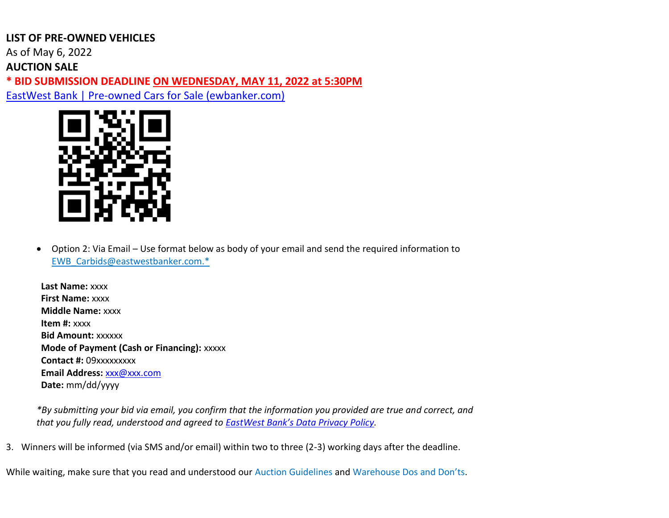As of May 6, 2022

**AUCTION SALE**

**\* BID SUBMISSION DEADLINE ON WEDNESDAY, MAY 11, 2022 at 5:30PM** 

[EastWest Bank | Pre-owned Cars for Sale \(ewbanker.com\)](https://www.ewbanker.com/Loans/PreOwned/Cars)



• Option 2: Via Email – Use format below as body of your email and send the required information to [EWB\\_Carbids@eastwestbanker.com.](mailto:EWB_Carbids@eastwestbanker.com)\*

**Last Name:** xxxx **First Name:** xxxx **Middle Name:** xxxx **Item #:** xxxx **Bid Amount:** xxxxxx **Mode of Payment (Cash or Financing):** xxxxx **Contact #:** 09xxxxxxxxx **Email Address:** [xxx@xxx.com](mailto:xxx@xxx.com) **Date:** mm/dd/yyyy

*\*By submitting your bid via email, you confirm that the information you provided are true and correct, and that you fully read, understood and agreed to [EastWest Bank's Data Privacy Policy](https://www.eastwestbanker.com/info/ew_privacy.asp).*

3. Winners will be informed (via SMS and/or email) within two to three (2-3) working days after the deadline.

While waiting, make sure that you read and understood our Auction Guidelines and Warehouse Dos and Don'ts.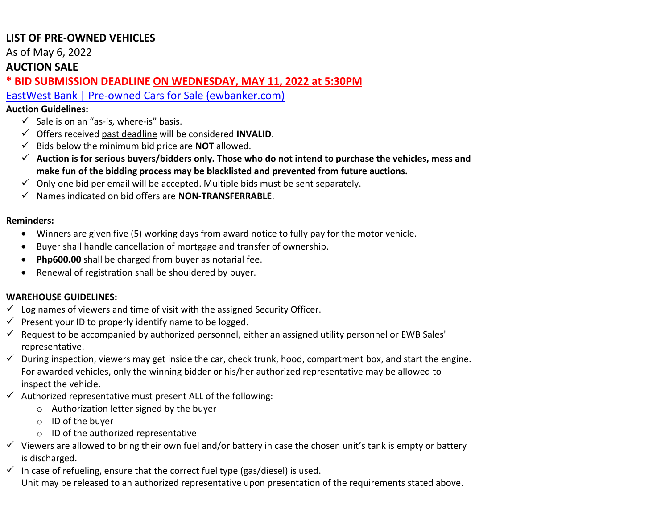As of May 6, 2022

#### **AUCTION SALE**

**\* BID SUBMISSION DEADLINE ON WEDNESDAY, MAY 11, 2022 at 5:30PM** 

[EastWest Bank | Pre-owned Cars for Sale \(ewbanker.com\)](https://www.ewbanker.com/Loans/PreOwned/Cars)

#### **Auction Guidelines:**

- $\checkmark$  Sale is on an "as-is, where-is" basis.
- ✓ Offers received past deadline will be considered **INVALID**.
- ✓ Bids below the minimum bid price are **NOT** allowed.
- ✓ **Auction is for serious buyers/bidders only. Those who do not intend to purchase the vehicles, mess and make fun of the bidding process may be blacklisted and prevented from future auctions.**
- $\checkmark$  Only one bid per email will be accepted. Multiple bids must be sent separately.
- ✓ Names indicated on bid offers are **NON-TRANSFERRABLE**.

#### **Reminders:**

- Winners are given five (5) working days from award notice to fully pay for the motor vehicle.
- Buyer shall handle cancellation of mortgage and transfer of ownership.
- **Php600.00** shall be charged from buyer as notarial fee.
- Renewal of registration shall be shouldered by buyer.

#### **WAREHOUSE GUIDELINES:**

- $\checkmark$  Log names of viewers and time of visit with the assigned Security Officer.
- $\checkmark$  Present your ID to properly identify name to be logged.
- $\checkmark$  Request to be accompanied by authorized personnel, either an assigned utility personnel or EWB Sales' representative.
- $\checkmark$  During inspection, viewers may get inside the car, check trunk, hood, compartment box, and start the engine. For awarded vehicles, only the winning bidder or his/her authorized representative may be allowed to inspect the vehicle.
- $\checkmark$  Authorized representative must present ALL of the following:
	- o Authorization letter signed by the buyer
	- o ID of the buyer
	- o ID of the authorized representative
- $\checkmark$  Viewers are allowed to bring their own fuel and/or battery in case the chosen unit's tank is empty or battery is discharged.
- $\checkmark$  In case of refueling, ensure that the correct fuel type (gas/diesel) is used. Unit may be released to an authorized representative upon presentation of the requirements stated above.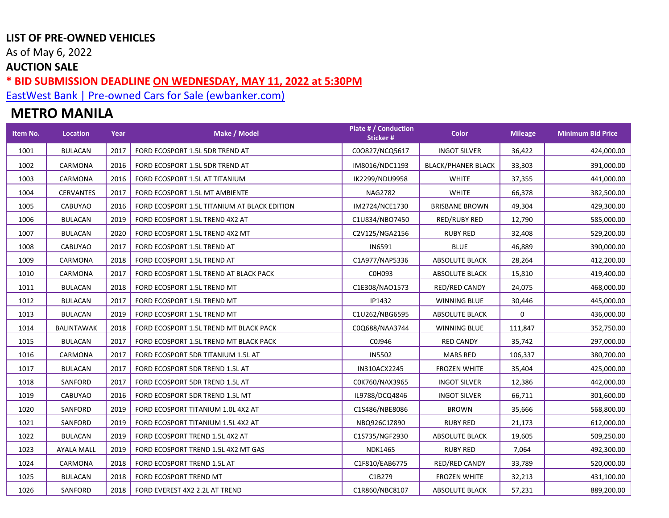As of May 6, 2022

### **AUCTION SALE**

**\* BID SUBMISSION DEADLINE ON WEDNESDAY, MAY 11, 2022 at 5:30PM** 

[EastWest Bank | Pre-owned Cars for Sale \(ewbanker.com\)](https://www.ewbanker.com/Loans/PreOwned/Cars)

# **METRO MANILA**

| Item No. | Location          | Year | Make / Model                                 | Plate # / Conduction<br>Sticker# | <b>Color</b>              | <b>Mileage</b> | <b>Minimum Bid Price</b> |
|----------|-------------------|------|----------------------------------------------|----------------------------------|---------------------------|----------------|--------------------------|
| 1001     | <b>BULACAN</b>    | 2017 | FORD ECOSPORT 1.5L 5DR TREND AT              | C00827/NCQ5617                   | <b>INGOT SILVER</b>       | 36,422         | 424,000.00               |
| 1002     | CARMONA           | 2016 | FORD ECOSPORT 1.5L 5DR TREND AT              | IM8016/NDC1193                   | <b>BLACK/PHANER BLACK</b> | 33,303         | 391,000.00               |
| 1003     | CARMONA           | 2016 | FORD ECOSPORT 1.5L AT TITANIUM               | IK2299/NDU9958                   | <b>WHITE</b>              | 37,355         | 441,000.00               |
| 1004     | <b>CERVANTES</b>  | 2017 | FORD ECOSPORT 1.5L MT AMBIENTE               | <b>NAG2782</b>                   | <b>WHITE</b>              | 66,378         | 382,500.00               |
| 1005     | CABUYAO           | 2016 | FORD ECOSPORT 1.5L TITANIUM AT BLACK EDITION | IM2724/NCE1730                   | <b>BRISBANE BROWN</b>     | 49,304         | 429,300.00               |
| 1006     | <b>BULACAN</b>    | 2019 | FORD ECOSPORT 1.5L TREND 4X2 AT              | C1U834/NBO7450                   | RED/RUBY RED              | 12,790         | 585,000.00               |
| 1007     | <b>BULACAN</b>    | 2020 | FORD ECOSPORT 1.5L TREND 4X2 MT              | C2V125/NGA2156                   | <b>RUBY RED</b>           | 32,408         | 529,200.00               |
| 1008     | CABUYAO           | 2017 | FORD ECOSPORT 1.5L TREND AT                  | IN6591                           | <b>BLUE</b>               | 46,889         | 390,000.00               |
| 1009     | CARMONA           | 2018 | FORD ECOSPORT 1.5L TREND AT                  | C1A977/NAP5336                   | <b>ABSOLUTE BLACK</b>     | 28,264         | 412,200.00               |
| 1010     | CARMONA           | 2017 | FORD ECOSPORT 1.5L TREND AT BLACK PACK       | C0H093                           | <b>ABSOLUTE BLACK</b>     | 15,810         | 419,400.00               |
| 1011     | <b>BULACAN</b>    | 2018 | FORD ECOSPORT 1.5L TREND MT                  | C1E308/NAO1573                   | RED/RED CANDY             | 24,075         | 468,000.00               |
| 1012     | <b>BULACAN</b>    | 2017 | FORD ECOSPORT 1.5L TREND MT                  | IP1432                           | <b>WINNING BLUE</b>       | 30,446         | 445,000.00               |
| 1013     | <b>BULACAN</b>    | 2019 | FORD ECOSPORT 1.5L TREND MT                  | C1U262/NBG6595                   | <b>ABSOLUTE BLACK</b>     | 0              | 436,000.00               |
| 1014     | <b>BALINTAWAK</b> | 2018 | FORD ECOSPORT 1.5L TREND MT BLACK PACK       | C0Q688/NAA3744                   | <b>WINNING BLUE</b>       | 111,847        | 352,750.00               |
| 1015     | <b>BULACAN</b>    | 2017 | FORD ECOSPORT 1.5L TREND MT BLACK PACK       | C0J946                           | <b>RED CANDY</b>          | 35,742         | 297,000.00               |
| 1016     | CARMONA           | 2017 | FORD ECOSPORT 5DR TITANIUM 1.5L AT           | <b>IN5502</b>                    | <b>MARS RED</b>           | 106,337        | 380,700.00               |
| 1017     | <b>BULACAN</b>    | 2017 | FORD ECOSPORT 5DR TREND 1.5L AT              | IN310ACX2245                     | <b>FROZEN WHITE</b>       | 35,404         | 425,000.00               |
| 1018     | SANFORD           | 2017 | FORD ECOSPORT 5DR TREND 1.5L AT              | C0K760/NAX3965                   | <b>INGOT SILVER</b>       | 12,386         | 442,000.00               |
| 1019     | CABUYAO           | 2016 | FORD ECOSPORT 5DR TREND 1.5L MT              | IL9788/DCQ4846                   | <b>INGOT SILVER</b>       | 66,711         | 301,600.00               |
| 1020     | SANFORD           | 2019 | FORD ECOSPORT TITANIUM 1.0L 4X2 AT           | C1S486/NBE8086                   | <b>BROWN</b>              | 35,666         | 568,800.00               |
| 1021     | SANFORD           | 2019 | FORD ECOSPORT TITANIUM 1.5L 4X2 AT           | NBQ926C1Z890                     | <b>RUBY RED</b>           | 21,173         | 612,000.00               |
| 1022     | <b>BULACAN</b>    | 2019 | FORD ECOSPORT TREND 1.5L 4X2 AT              | C1S735/NGF2930                   | <b>ABSOLUTE BLACK</b>     | 19,605         | 509,250.00               |
| 1023     | <b>AYALA MALL</b> | 2019 | FORD ECOSPORT TREND 1.5L 4X2 MT GAS          | <b>NDK1465</b>                   | <b>RUBY RED</b>           | 7,064          | 492,300.00               |
| 1024     | CARMONA           | 2018 | FORD ECOSPORT TREND 1.5L AT                  | C1F810/EAB6775                   | RED/RED CANDY             | 33,789         | 520,000.00               |
| 1025     | <b>BULACAN</b>    | 2018 | FORD ECOSPORT TREND MT                       | C1B279                           | <b>FROZEN WHITE</b>       | 32,213         | 431,100.00               |
| 1026     | SANFORD           | 2018 | FORD EVEREST 4X2 2.2L AT TREND               | C1R860/NBC8107                   | <b>ABSOLUTE BLACK</b>     | 57,231         | 889,200.00               |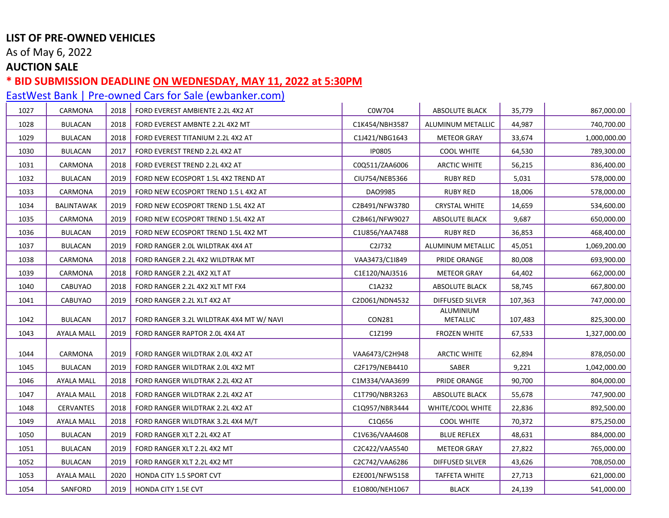As of May 6, 2022

## **AUCTION SALE**

### **\* BID SUBMISSION DEADLINE ON WEDNESDAY, MAY 11, 2022 at 5:30PM**

| 1027 | CARMONA           | 2018 | FORD EVEREST AMBIENTE 2.2L 4X2 AT        | C0W704         | ABSOLUTE BLACK               | 35,779  | 867,000.00   |
|------|-------------------|------|------------------------------------------|----------------|------------------------------|---------|--------------|
| 1028 | <b>BULACAN</b>    | 2018 | FORD EVEREST AMBNTE 2.2L 4X2 MT          | C1K454/NBH3587 | ALUMINUM METALLIC            | 44,987  | 740,700.00   |
| 1029 | <b>BULACAN</b>    | 2018 | FORD EVEREST TITANIUM 2.2L 4X2 AT        | C1J421/NBG1643 | <b>METEOR GRAY</b>           | 33,674  | 1,000,000.00 |
| 1030 | <b>BULACAN</b>    | 2017 | FORD EVEREST TREND 2.2L 4X2 AT           | <b>IP0805</b>  | <b>COOL WHITE</b>            | 64,530  | 789,300.00   |
| 1031 | CARMONA           | 2018 | FORD EVEREST TREND 2.2L 4X2 AT           | C0Q511/ZAA6006 | ARCTIC WHITE                 | 56,215  | 836,400.00   |
| 1032 | <b>BULACAN</b>    | 2019 | FORD NEW ECOSPORT 1.5L 4X2 TREND AT      | CIU754/NEB5366 | <b>RUBY RED</b>              | 5,031   | 578,000.00   |
| 1033 | CARMONA           | 2019 | FORD NEW ECOSPORT TREND 1.5 L 4X2 AT     | DA09985        | <b>RUBY RED</b>              | 18,006  | 578,000.00   |
| 1034 | <b>BALINTAWAK</b> | 2019 | FORD NEW ECOSPORT TREND 1.5L 4X2 AT      | C2B491/NFW3780 | <b>CRYSTAL WHITE</b>         | 14,659  | 534,600.00   |
| 1035 | CARMONA           | 2019 | FORD NEW ECOSPORT TREND 1.5L 4X2 AT      | C2B461/NFW9027 | <b>ABSOLUTE BLACK</b>        | 9,687   | 650,000.00   |
| 1036 | <b>BULACAN</b>    | 2019 | FORD NEW ECOSPORT TREND 1.5L 4X2 MT      | C1U856/YAA7488 | <b>RUBY RED</b>              | 36,853  | 468,400.00   |
| 1037 | <b>BULACAN</b>    | 2019 | FORD RANGER 2.0L WILDTRAK 4X4 AT         | C2J732         | ALUMINUM METALLIC            | 45,051  | 1,069,200.00 |
| 1038 | CARMONA           | 2018 | FORD RANGER 2.2L 4X2 WILDTRAK MT         | VAA3473/C1I849 | PRIDE ORANGE                 | 80,008  | 693,900.00   |
| 1039 | CARMONA           | 2018 | FORD RANGER 2.2L 4X2 XLT AT              | C1E120/NAJ3516 | <b>METEOR GRAY</b>           | 64,402  | 662,000.00   |
| 1040 | CABUYAO           | 2018 | FORD RANGER 2.2L 4X2 XLT MT FX4          | C1A232         | <b>ABSOLUTE BLACK</b>        | 58,745  | 667,800.00   |
| 1041 | CABUYAO           | 2019 | FORD RANGER 2.2L XLT 4X2 AT              | C2D061/NDN4532 | <b>DIFFUSED SILVER</b>       | 107,363 | 747,000.00   |
| 1042 | <b>BULACAN</b>    | 2017 | FORD RANGER 3.2L WILDTRAK 4X4 MT W/ NAVI | <b>CON281</b>  | ALUMINIUM<br><b>METALLIC</b> | 107,483 | 825,300.00   |
| 1043 | AYALA MALL        | 2019 | FORD RANGER RAPTOR 2.0L 4X4 AT           | C1Z199         | <b>FROZEN WHITE</b>          | 67,533  | 1,327,000.00 |
|      |                   |      |                                          |                |                              |         |              |
| 1044 | CARMONA           | 2019 | FORD RANGER WILDTRAK 2.0L 4X2 AT         | VAA6473/C2H948 | <b>ARCTIC WHITE</b>          | 62,894  | 878,050.00   |
| 1045 | <b>BULACAN</b>    | 2019 | FORD RANGER WILDTRAK 2.0L 4X2 MT         | C2F179/NEB4410 | SABER                        | 9,221   | 1,042,000.00 |
| 1046 | <b>AYALA MALL</b> | 2018 | FORD RANGER WILDTRAK 2.2L 4X2 AT         | C1M334/VAA3699 | PRIDE ORANGE                 | 90,700  | 804,000.00   |
| 1047 | <b>AYALA MALL</b> | 2018 | FORD RANGER WILDTRAK 2.2L 4X2 AT         | C1T790/NBR3263 | <b>ABSOLUTE BLACK</b>        | 55,678  | 747,900.00   |
| 1048 | CERVANTES         | 2018 | FORD RANGER WILDTRAK 2.2L 4X2 AT         | C1Q957/NBR3444 | WHITE/COOL WHITE             | 22,836  | 892,500.00   |
| 1049 | <b>AYALA MALL</b> | 2018 | FORD RANGER WILDTRAK 3.2L 4X4 M/T        | C1Q656         | <b>COOL WHITE</b>            | 70,372  | 875,250.00   |
| 1050 | <b>BULACAN</b>    | 2019 | FORD RANGER XLT 2.2L 4X2 AT              | C1V636/VAA4608 | <b>BLUE REFLEX</b>           | 48,631  | 884,000.00   |
| 1051 | <b>BULACAN</b>    | 2019 | FORD RANGER XLT 2.2L 4X2 MT              | C2C422/VAA5540 | <b>METEOR GRAY</b>           | 27,822  | 765,000.00   |
| 1052 | <b>BULACAN</b>    | 2019 | FORD RANGER XLT 2.2L 4X2 MT              | C2C742/VAA6286 | DIFFUSED SILVER              | 43,626  | 708,050.00   |
| 1053 | <b>AYALA MALL</b> | 2020 | HONDA CITY 1.5 SPORT CVT                 | E2E001/NFW5158 | TAFFETA WHITE                | 27,713  | 621,000.00   |
| 1054 | SANFORD           | 2019 | HONDA CITY 1.5E CVT                      | E1O800/NEH1067 | <b>BLACK</b>                 | 24,139  | 541,000.00   |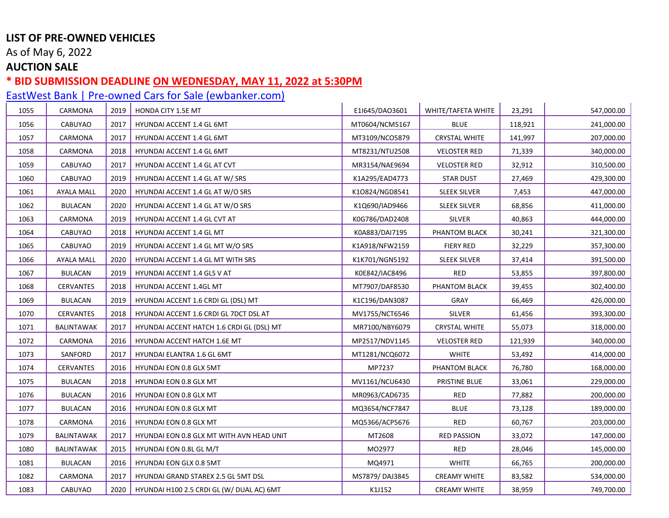As of May 6, 2022

## **AUCTION SALE**

### **\* BID SUBMISSION DEADLINE ON WEDNESDAY, MAY 11, 2022 at 5:30PM**

| 1055 | CARMONA           | 2019 | HONDA CITY 1.5E MT                        | E1I645/DAO3601 | WHITE/TAFETA WHITE   | 23,291  | 547,000.00 |
|------|-------------------|------|-------------------------------------------|----------------|----------------------|---------|------------|
| 1056 | CABUYAO           | 2017 | <b>HYUNDAI ACCENT 1.4 GL 6MT</b>          | MT0604/NCM5167 | <b>BLUE</b>          | 118,921 | 241,000.00 |
| 1057 | CARMONA           | 2017 | HYUNDAI ACCENT 1.4 GL 6MT                 | MT3109/NCO5879 | <b>CRYSTAL WHITE</b> | 141,997 | 207,000.00 |
| 1058 | CARMONA           | 2018 | HYUNDAI ACCENT 1.4 GL 6MT                 | MT8231/NTU2508 | <b>VELOSTER RED</b>  | 71,339  | 340,000.00 |
| 1059 | CABUYAO           | 2017 | HYUNDAI ACCENT 1.4 GL AT CVT              | MR3154/NAE9694 | <b>VELOSTER RED</b>  | 32,912  | 310,500.00 |
| 1060 | CABUYAO           | 2019 | HYUNDAI ACCENT 1.4 GL AT W/ SRS           | K1A295/EAD4773 | <b>STAR DUST</b>     | 27,469  | 429,300.00 |
| 1061 | <b>AYALA MALL</b> | 2020 | HYUNDAI ACCENT 1.4 GL AT W/O SRS          | K10824/NGD8541 | <b>SLEEK SILVER</b>  | 7,453   | 447,000.00 |
| 1062 | <b>BULACAN</b>    | 2020 | HYUNDAI ACCENT 1.4 GL AT W/O SRS          | K1Q690/IAD9466 | <b>SLEEK SILVER</b>  | 68,856  | 411,000.00 |
| 1063 | CARMONA           | 2019 | HYUNDAI ACCENT 1.4 GL CVT AT              | K0G786/DAD2408 | <b>SILVER</b>        | 40,863  | 444,000.00 |
| 1064 | CABUYAO           | 2018 | HYUNDAI ACCENT 1.4 GL MT                  | K0A883/DAI7195 | PHANTOM BLACK        | 30,241  | 321,300.00 |
| 1065 | CABUYAO           | 2019 | HYUNDAI ACCENT 1.4 GL MT W/O SRS          | K1A918/NFW2159 | <b>FIERY RED</b>     | 32,229  | 357,300.00 |
| 1066 | <b>AYALA MALL</b> | 2020 | HYUNDAI ACCENT 1.4 GL MT WITH SRS         | K1K701/NGN5192 | <b>SLEEK SILVER</b>  | 37,414  | 391,500.00 |
| 1067 | <b>BULACAN</b>    | 2019 | HYUNDAI ACCENT 1.4 GLS V AT               | K0E842/IAC8496 | RED                  | 53,855  | 397,800.00 |
| 1068 | <b>CERVANTES</b>  | 2018 | <b>HYUNDAI ACCENT 1.4GL MT</b>            | MT7907/DAF8530 | PHANTOM BLACK        | 39,455  | 302,400.00 |
| 1069 | <b>BULACAN</b>    | 2019 | HYUNDAI ACCENT 1.6 CRDI GL (DSL) MT       | K1C196/DAN3087 | GRAY                 | 66,469  | 426,000.00 |
| 1070 | <b>CERVANTES</b>  | 2018 | HYUNDAI ACCENT 1.6 CRDI GL 7DCT DSL AT    | MV1755/NCT6546 | <b>SILVER</b>        | 61,456  | 393,300.00 |
| 1071 | <b>BALINTAWAK</b> | 2017 | HYUNDAI ACCENT HATCH 1.6 CRDI GL (DSL) MT | MR7100/NBY6079 | <b>CRYSTAL WHITE</b> | 55,073  | 318,000.00 |
| 1072 | CARMONA           | 2016 | HYUNDAI ACCENT HATCH 1.6E MT              | MP2517/NDV1145 | <b>VELOSTER RED</b>  | 121,939 | 340,000.00 |
| 1073 | SANFORD           | 2017 | HYUNDAI ELANTRA 1.6 GL 6MT                | MT1281/NCQ6072 | <b>WHITE</b>         | 53,492  | 414,000.00 |
| 1074 | CERVANTES         | 2016 | HYUNDAI EON 0.8 GLX 5MT                   | MP7237         | PHANTOM BLACK        | 76,780  | 168,000.00 |
| 1075 | <b>BULACAN</b>    | 2018 | <b>HYUNDAI EON 0.8 GLX MT</b>             | MV1161/NCU6430 | PRISTINE BLUE        | 33,061  | 229,000.00 |
| 1076 | <b>BULACAN</b>    | 2016 | HYUNDAI EON 0.8 GLX MT                    | MR0963/CAD6735 | RED                  | 77,882  | 200,000.00 |
| 1077 | <b>BULACAN</b>    | 2016 | HYUNDAI EON 0.8 GLX MT                    | MQ3654/NCF7847 | <b>BLUE</b>          | 73,128  | 189,000.00 |
| 1078 | CARMONA           | 2016 | HYUNDAI EON 0.8 GLX MT                    | MQ5366/ACP5676 | RED                  | 60,767  | 203,000.00 |
| 1079 | BALINTAWAK        | 2017 | HYUNDAI EON 0.8 GLX MT WITH AVN HEAD UNIT | MT2608         | <b>RED PASSION</b>   | 33,072  | 147,000.00 |
| 1080 | <b>BALINTAWAK</b> | 2015 | HYUNDAI EON 0.8L GL M/T                   | MO2977         | <b>RED</b>           | 28,046  | 145,000.00 |
| 1081 | <b>BULACAN</b>    | 2016 | HYUNDAI EON GLX 0.8 5MT                   | MQ4971         | <b>WHITE</b>         | 66,765  | 200,000.00 |
| 1082 | CARMONA           | 2017 | HYUNDAI GRAND STAREX 2.5 GL 5MT DSL       | MS7879/DAJ3845 | <b>CREAMY WHITE</b>  | 83,582  | 534,000.00 |
| 1083 | CABUYAO           | 2020 | HYUNDAI H100 2.5 CRDI GL (W/ DUAL AC) 6MT | K1J152         | <b>CREAMY WHITE</b>  | 38,959  | 749,700.00 |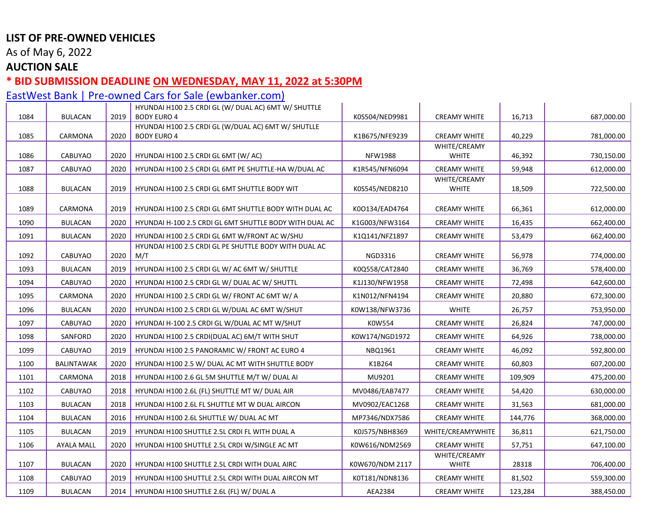As of May 6, 2022

## **AUCTION SALE**

#### **\* BID SUBMISSION DEADLINE ON WEDNESDAY, MAY 11, 2022 at 5:30PM**

|      |                   |      | HYUNDAI H100 2.5 CRDI GL (W/ DUAL AC) 6MT W/ SHUTTLE                      |                 |                              |         |            |
|------|-------------------|------|---------------------------------------------------------------------------|-----------------|------------------------------|---------|------------|
| 1084 | <b>BULACAN</b>    | 2019 | <b>BODY EURO 4</b><br>HYUNDAI H100 2.5 CRDI GL (W/DUAL AC) 6MT W/ SHUTLLE | K0S504/NED9981  | <b>CREAMY WHITE</b>          | 16,713  | 687,000.00 |
| 1085 | CARMONA           | 2020 | <b>BODY EURO 4</b>                                                        | K1B675/NFE9239  | <b>CREAMY WHITE</b>          | 40,229  | 781,000.00 |
|      |                   |      |                                                                           |                 | WHITE/CREAMY                 |         |            |
| 1086 | CABUYAO           | 2020 | HYUNDAI H100 2.5 CRDI GL 6MT (W/ AC)                                      | <b>NFW1988</b>  | <b>WHITE</b>                 | 46,392  | 730,150.00 |
| 1087 | <b>CABUYAO</b>    | 2020 | HYUNDAI H100 2.5 CRDI GL 6MT PE SHUTTLE-HA W/DUAL AC                      | K1R545/NFN6094  | <b>CREAMY WHITE</b>          | 59,948  | 612,000.00 |
|      |                   |      |                                                                           |                 | WHITE/CREAMY                 |         |            |
| 1088 | <b>BULACAN</b>    | 2019 | HYUNDAI H100 2.5 CRDI GL 6MT SHUTTLE BODY WIT                             | K0S545/NED8210  | <b>WHITE</b>                 | 18,509  | 722,500.00 |
| 1089 | CARMONA           | 2019 | HYUNDAI H100 2.5 CRDI GL 6MT SHUTTLE BODY WITH DUAL AC                    | K00134/EAD4764  | <b>CREAMY WHITE</b>          | 66,361  | 612,000.00 |
| 1090 | <b>BULACAN</b>    | 2020 | HYUNDAI H-100 2.5 CRDI GL 6MT SHUTTLE BODY WITH DUAL AC                   | K1G003/NFW3164  | <b>CREAMY WHITE</b>          | 16,435  | 662,400.00 |
| 1091 | <b>BULACAN</b>    | 2020 | HYUNDAI H100 2.5 CRDI GL 6MT W/FRONT AC W/SHU                             | K1Q141/NFZ1897  | <b>CREAMY WHITE</b>          | 53,479  | 662,400.00 |
|      |                   |      | HYUNDAI H100 2.5 CRDI GL PE SHUTTLE BODY WITH DUAL AC                     |                 |                              |         |            |
| 1092 | <b>CABUYAO</b>    | 2020 | M/T                                                                       | <b>NGD3316</b>  | <b>CREAMY WHITE</b>          | 56,978  | 774,000.00 |
| 1093 | <b>BULACAN</b>    | 2019 | HYUNDAI H100 2.5 CRDI GL W/ AC 6MT W/ SHUTTLE                             | K0Q558/CAT2840  | <b>CREAMY WHITE</b>          | 36,769  | 578,400.00 |
| 1094 | <b>CABUYAO</b>    | 2020 | HYUNDAI H100 2.5 CRDI GL W/ DUAL AC W/ SHUTTL                             | K1J130/NFW1958  | <b>CREAMY WHITE</b>          | 72,498  | 642,600.00 |
| 1095 | CARMONA           | 2020 | HYUNDAI H100 2.5 CRDI GL W/ FRONT AC 6MT W/ A                             | K1N012/NFN4194  | <b>CREAMY WHITE</b>          | 20,880  | 672,300.00 |
| 1096 | <b>BULACAN</b>    | 2020 | HYUNDAI H100 2.5 CRDI GL W/DUAL AC 6MT W/SHUT                             | K0W138/NFW3736  | <b>WHITE</b>                 | 26,757  | 753,950.00 |
| 1097 | CABUYAO           | 2020 | HYUNDAI H-100 2.5 CRDI GL W/DUAL AC MT W/SHUT                             | K0W554          | <b>CREAMY WHITE</b>          | 26,824  | 747,000.00 |
| 1098 | SANFORD           | 2020 | HYUNDAI H100 2.5 CRDI(DUAL AC) 6M/T WITH SHUT                             | K0W174/NGD1972  | <b>CREAMY WHITE</b>          | 64,926  | 738,000.00 |
| 1099 | CABUYAO           | 2019 | HYUNDAI H100 2.5 PANORAMIC W/ FRONT AC EURO 4                             | NBQ1961         | <b>CREAMY WHITE</b>          | 46,092  | 592,800.00 |
| 1100 | BALINTAWAK        | 2020 | HYUNDAI H100 2.5 W/ DUAL AC MT WITH SHUTTLE BODY                          | K1B264          | <b>CREAMY WHITE</b>          | 60,803  | 607,200.00 |
| 1101 | CARMONA           | 2018 | HYUNDAI H100 2.6 GL 5M SHUTTLE M/T W/ DUAL AI                             | MU9201          | <b>CREAMY WHITE</b>          | 109,909 | 475,200.00 |
| 1102 | <b>CABUYAO</b>    | 2018 | HYUNDAI H100 2.6L (FL) SHUTTLE MT W/ DUAL AIR                             | MV0486/EAB7477  | <b>CREAMY WHITE</b>          | 54,420  | 630,000.00 |
| 1103 | <b>BULACAN</b>    | 2018 | HYUNDAI H100 2.6L FL SHUTTLE MT W DUAL AIRCON                             | MV0902/EAC1268  | <b>CREAMY WHITE</b>          | 31,563  | 681,000.00 |
| 1104 | <b>BULACAN</b>    | 2016 | HYUNDAI H100 2.6L SHUTTLE W/ DUAL AC MT                                   | MP7346/NDX7586  | <b>CREAMY WHITE</b>          | 144,776 | 368,000.00 |
| 1105 | <b>BULACAN</b>    | 2019 | HYUNDAI H100 SHUTTLE 2.5L CRDI FL WITH DUAL A                             | K0J575/NBH8369  | WHITE/CREAMYWHITE            | 36,811  | 621,750.00 |
| 1106 | <b>AYALA MALL</b> | 2020 | HYUNDAI H100 SHUTTLE 2.5L CRDI W/SINGLE AC MT                             | K0W616/NDM2569  | <b>CREAMY WHITE</b>          | 57,751  | 647,100.00 |
| 1107 | <b>BULACAN</b>    | 2020 | HYUNDAI H100 SHUTTLE 2.5L CRDI WITH DUAL AIRC                             | K0W670/NDM 2117 | WHITE/CREAMY<br><b>WHITE</b> | 28318   | 706,400.00 |
| 1108 | <b>CABUYAO</b>    | 2019 | HYUNDAI H100 SHUTTLE 2.5L CRDI WITH DUAL AIRCON MT                        | K0T181/NDN8136  | <b>CREAMY WHITE</b>          | 81,502  | 559,300.00 |
| 1109 | <b>BULACAN</b>    | 2014 | HYUNDAI H100 SHUTTLE 2.6L (FL) W/ DUAL A                                  | AEA2384         | <b>CREAMY WHITE</b>          | 123,284 | 388,450.00 |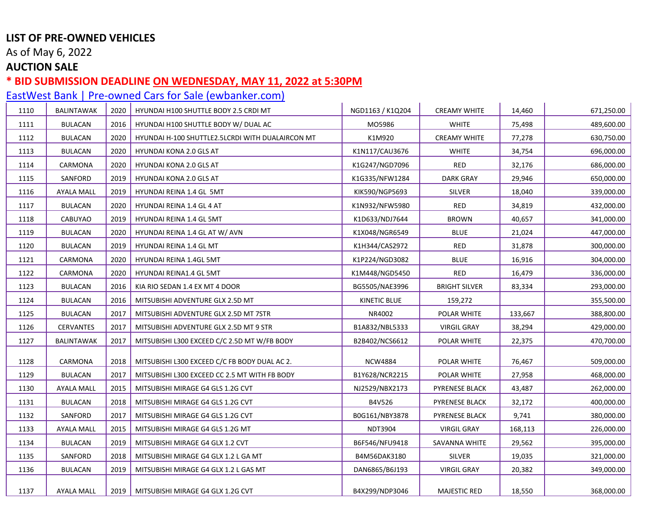As of May 6, 2022

#### **AUCTION SALE**

#### **\* BID SUBMISSION DEADLINE ON WEDNESDAY, MAY 11, 2022 at 5:30PM**

[EastWest Bank | Pre-owned Cars for Sale \(ewbanker.com\)](https://www.ewbanker.com/Loans/PreOwned/Cars) 1110 BALINTAWAK 2020 HYUNDAI H100 SHUTTLE BODY 2.5 CRDI MT NGD1163 / K1Q204 CREAMY WHITE 14,460 671,250.00 1111 BULACAN 2016 HYUNDAI H100 SHUTTLE BODY W/ DUAL AC MO5986 WHITE 75,498 489,600.00 1112 BULACAN 2020 HYUNDAI H-100 SHUTTLE2.5LCRDI WITH DUALAIRCON MT K1M920 CREAMY WHITE 77,278 630,750.00 1113 BULACAN 2020 HYUNDAI KONA 2.0 GLS AT K1N117/CAU3676 WHITE 34,754 696,000.00 1114 CARMONA 2020 HYUNDAI KONA 2.0 GLS AT K1G247/NGD7096 RED 32,176 686,000.00 1115 SANFORD 2019 HYUNDAI KONA 2.0 GLS AT K1G335/NFW1284 DARK GRAY 29,946 650,000.00 1116 | AYALA MALL | 2019 | HYUNDAI REINA 1.4 GL 5MT NATURELLE SILVER | SILVER | 18,040 | 339,000.00 1117 BULACAN 2020 HYUNDAI REINA 1.4 GL 4 AT K1N932/NFW5980 RED 34,819 432,000.00 1118 CABUYAO 2019 | HYUNDAI REINA 1.4 GL 5MT NATURE AND SANDITE RAY NO SANDITE ALL SANDITE ARROWN | 40,657 | 341,000.00 1119 BULACAN 2020 HYUNDAI REINA 1.4 GL AT W/ AVN K1X048/NGR6549 BLUE 21,024 447,000.00 1120 BULACAN 2019 HYUNDAI REINA 1.4 GL MT K1H344/CAS2972 RED 31,878 300,000.00 1121 CARMONA 2020 HYUNDAI REINA 1.4GL 5MT K1P224/NGD3082 BLUE 16,916 304,000.00 1122 CARMONA 2020 HYUNDAI REINA1.4 GL 5MT K1M448/NGD5450 RED 16,479 336,000.00 1123 BULACAN 2016 KIA RIO SEDAN 1.4 EX MT 4 DOOR BG5505/NAE3996 BRIGHT SILVER 83,334 293,000.00 1124 BULACAN 2016 MITSUBISHI ADVENTURE GLX 2.5D MT KINETIC BLUE 159,272 355,500.00 1125 BULACAN 2017 MITSUBISHI ADVENTURE GLX 2.5D MT 7STR NR4002 POLAR WHITE 133,667 388,800.00 1126 CERVANTES 2017 MITSUBISHI ADVENTURE GLX 2.5D MT 9 STR B1A832/NBL5333 VIRGIL GRAY 38,294 429,000.00 1127 BALINTAWAK 2017 | MITSUBISHI L300 EXCEED C/C 2.5D MT W/FB BODY | B2B402/NCS6612 | POLAR WHITE | 22,375 | 470,700.00 1128 | CARMONA | 2018 | MITSUBISHI L300 EXCEED C/C FB BODY DUAL AC 2. | NCW4884 | POLAR WHITE | 76,467 | S09,000.00 1129 | BULACAN | 2017 | MITSUBISHI L300 EXCEED CC 2.5 MT WITH FB BODY | B1Y628/NCR2215 | POLAR WHITE | 27,958 | 468,000.00 1130 AYALA MALL 2015 MITSUBISHI MIRAGE G4 GLS 1.2G CVT NJ2529/NBX2173 PYRENESE BLACK 43,487 262,000.00 1131 | BULACAN | 2018 | MITSUBISHI MIRAGE G4 GLS 1.2G CVT | B4V526 | PYRENESE BLACK | 32,172 | 400,000.00 1132 SANFORD 2017 | MITSUBISHI MIRAGE G4 GLS 1.2G CVT | B0G161/NBY3878 | PYRENESE BLACK | 9,741 | 380,000.00 1133 AYALA MALL 2015 MITSUBISHI MIRAGE G4 GLS 1.2G MT NDT3904 NDT3904 NRGIL GRAY 168,113 226,000.00 1134 | BULACAN |2019 |MITSUBISHI MIRAGE G4 GLX 1.2 CVT | B6F546/NFU9418 | SAVANNA WHITE | 29,562 | 395,000.00 1135 | SANFORD | 2018 | MITSUBISHI MIRAGE G4 GLX 1.2 L GA MT | BAMS6DAK3180 | SILVER | 19,035 | 321,000.00 1136 BULACAN 2019 MITSUBISHI MIRAGE G4 GLX 1.2 L GAS MT DAN6865/B6J193 VIRGIL GRAY 20,382 349,000.00

1137 AYALA MALL 2019 MITSUBISHI MIRAGE G4 GLX 1.2G CVT B4X299/NDP3046 MAJESTIC RED 18,550 368,000.00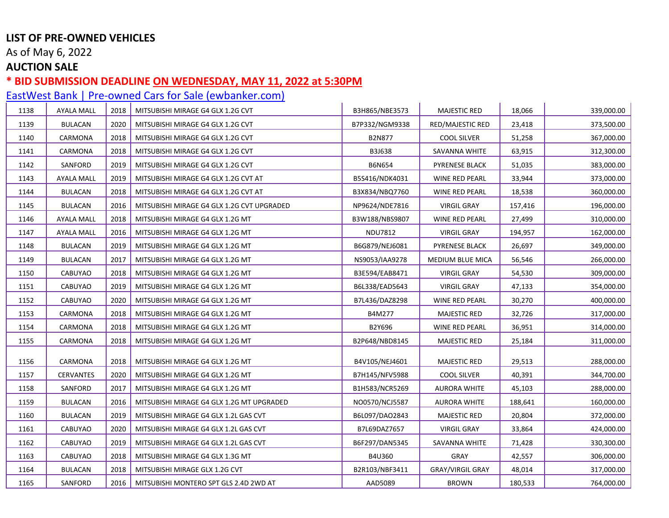As of May 6, 2022

## **AUCTION SALE**

### **\* BID SUBMISSION DEADLINE ON WEDNESDAY, MAY 11, 2022 at 5:30PM**

| 1138 | <b>AYALA MALL</b> | 2018 | MITSUBISHI MIRAGE G4 GLX 1.2G CVT          | B3H865/NBE3573 | <b>MAJESTIC RED</b>     | 18,066  | 339,000.00 |
|------|-------------------|------|--------------------------------------------|----------------|-------------------------|---------|------------|
| 1139 | <b>BULACAN</b>    | 2020 | MITSUBISHI MIRAGE G4 GLX 1.2G CVT          | B7P332/NGM9338 | <b>RED/MAJESTIC RED</b> | 23,418  | 373,500.00 |
| 1140 | CARMONA           | 2018 | MITSUBISHI MIRAGE G4 GLX 1.2G CVT          | <b>B2N877</b>  | <b>COOL SILVER</b>      | 51,258  | 367,000.00 |
| 1141 | CARMONA           | 2018 | MITSUBISHI MIRAGE G4 GLX 1.2G CVT          | B3J638         | SAVANNA WHITE           | 63,915  | 312,300.00 |
| 1142 | SANFORD           | 2019 | MITSUBISHI MIRAGE G4 GLX 1.2G CVT          | <b>B6N654</b>  | <b>PYRENESE BLACK</b>   | 51,035  | 383,000.00 |
| 1143 | AYALA MALL        | 2019 | MITSUBISHI MIRAGE G4 GLX 1.2G CVT AT       | B5S416/NDK4031 | WINE RED PEARL          | 33,944  | 373,000.00 |
| 1144 | BULACAN           | 2018 | MITSUBISHI MIRAGE G4 GLX 1.2G CVT AT       | B3X834/NBQ7760 | WINE RED PEARL          | 18,538  | 360,000.00 |
| 1145 | <b>BULACAN</b>    | 2016 | MITSUBISHI MIRAGE G4 GLX 1.2G CVT UPGRADED | NP9624/NDE7816 | <b>VIRGIL GRAY</b>      | 157,416 | 196,000.00 |
| 1146 | AYALA MALL        | 2018 | MITSUBISHI MIRAGE G4 GLX 1.2G MT           | B3W188/NBS9807 | WINE RED PEARL          | 27,499  | 310,000.00 |
| 1147 | <b>AYALA MALL</b> | 2016 | MITSUBISHI MIRAGE G4 GLX 1.2G MT           | <b>NDU7812</b> | <b>VIRGIL GRAY</b>      | 194,957 | 162,000.00 |
| 1148 | <b>BULACAN</b>    | 2019 | MITSUBISHI MIRAGE G4 GLX 1.2G MT           | B6G879/NEJ6081 | PYRENESE BLACK          | 26,697  | 349,000.00 |
| 1149 | BULACAN           | 2017 | MITSUBISHI MIRAGE G4 GLX 1.2G MT           | NS9053/IAA9278 | MEDIUM BLUE MICA        | 56,546  | 266,000.00 |
| 1150 | CABUYAO           | 2018 | MITSUBISHI MIRAGE G4 GLX 1.2G MT           | B3E594/EAB8471 | <b>VIRGIL GRAY</b>      | 54,530  | 309,000.00 |
| 1151 | CABUYAO           | 2019 | MITSUBISHI MIRAGE G4 GLX 1.2G MT           | B6L338/EAD5643 | <b>VIRGIL GRAY</b>      | 47,133  | 354,000.00 |
| 1152 | CABUYAO           | 2020 | MITSUBISHI MIRAGE G4 GLX 1.2G MT           | B7L436/DAZ8298 | WINE RED PEARL          | 30,270  | 400,000.00 |
| 1153 | CARMONA           | 2018 | MITSUBISHI MIRAGE G4 GLX 1.2G MT           | B4M277         | <b>MAJESTIC RED</b>     | 32,726  | 317,000.00 |
| 1154 | CARMONA           | 2018 | MITSUBISHI MIRAGE G4 GLX 1.2G MT           | B2Y696         | WINE RED PEARL          | 36,951  | 314,000.00 |
| 1155 | CARMONA           | 2018 | MITSUBISHI MIRAGE G4 GLX 1.2G MT           | B2P648/NBD8145 | <b>MAJESTIC RED</b>     | 25,184  | 311,000.00 |
| 1156 | CARMONA           | 2018 | MITSUBISHI MIRAGE G4 GLX 1.2G MT           | B4V105/NEJ4601 | <b>MAJESTIC RED</b>     | 29,513  | 288,000.00 |
| 1157 | CERVANTES         | 2020 | MITSUBISHI MIRAGE G4 GLX 1.2G MT           | B7H145/NFV5988 | COOL SILVER             | 40,391  | 344,700.00 |
| 1158 | SANFORD           | 2017 | MITSUBISHI MIRAGE G4 GLX 1.2G MT           | B1H583/NCR5269 | <b>AURORA WHITE</b>     | 45,103  | 288,000.00 |
| 1159 | <b>BULACAN</b>    | 2016 | MITSUBISHI MIRAGE G4 GLX 1.2G MT UPGRADED  | NO0570/NCJ5587 | <b>AURORA WHITE</b>     | 188,641 | 160,000.00 |
| 1160 | BULACAN           | 2019 | MITSUBISHI MIRAGE G4 GLX 1.2L GAS CVT      | B6L097/DAO2843 | <b>MAJESTIC RED</b>     | 20,804  | 372,000.00 |
| 1161 | CABUYAO           | 2020 | MITSUBISHI MIRAGE G4 GLX 1.2L GAS CVT      | B7L69DAZ7657   | <b>VIRGIL GRAY</b>      | 33,864  | 424,000.00 |
| 1162 | CABUYAO           | 2019 | MITSUBISHI MIRAGE G4 GLX 1.2L GAS CVT      | B6F297/DAN5345 | SAVANNA WHITE           | 71,428  | 330,300.00 |
| 1163 | CABUYAO           | 2018 | MITSUBISHI MIRAGE G4 GLX 1.3G MT           | B4U360         | <b>GRAY</b>             | 42,557  | 306,000.00 |
| 1164 | <b>BULACAN</b>    | 2018 | MITSUBISHI MIRAGE GLX 1.2G CVT             | B2R103/NBF3411 | <b>GRAY/VIRGIL GRAY</b> | 48,014  | 317,000.00 |
| 1165 | SANFORD           | 2016 | MITSUBISHI MONTERO SPT GLS 2.4D 2WD AT     | AAD5089        | <b>BROWN</b>            | 180,533 | 764,000.00 |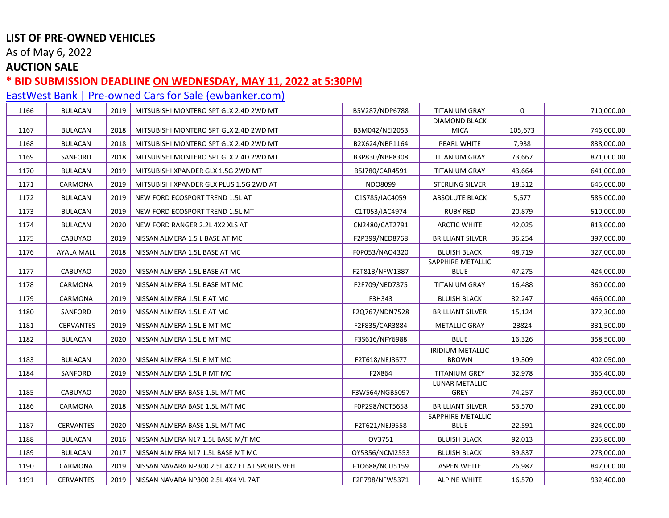As of May 6, 2022

## **AUCTION SALE**

# **\* BID SUBMISSION DEADLINE ON WEDNESDAY, MAY 11, 2022 at 5:30PM**

| 1166 | <b>BULACAN</b>   | 2019 | MITSUBISHI MONTERO SPT GLX 2.4D 2WD MT        | B5V287/NDP6788 | <b>TITANIUM GRAY</b>                    | 0       | 710,000.00 |
|------|------------------|------|-----------------------------------------------|----------------|-----------------------------------------|---------|------------|
|      |                  |      |                                               |                | <b>DIAMOND BLACK</b>                    |         |            |
| 1167 | <b>BULACAN</b>   | 2018 | MITSUBISHI MONTERO SPT GLX 2.4D 2WD MT        | B3M042/NEI2053 | <b>MICA</b>                             | 105,673 | 746,000.00 |
| 1168 | <b>BULACAN</b>   | 2018 | MITSUBISHI MONTERO SPT GLX 2.4D 2WD MT        | B2X624/NBP1164 | PEARL WHITE                             | 7,938   | 838,000.00 |
| 1169 | SANFORD          | 2018 | MITSUBISHI MONTERO SPT GLX 2.4D 2WD MT        | B3P830/NBP8308 | <b>TITANIUM GRAY</b>                    | 73,667  | 871,000.00 |
| 1170 | <b>BULACAN</b>   | 2019 | MITSUBISHI XPANDER GLX 1.5G 2WD MT            | B5J780/CAR4591 | <b>TITANIUM GRAY</b>                    | 43,664  | 641,000.00 |
| 1171 | CARMONA          | 2019 | MITSUBISHI XPANDER GLX PLUS 1.5G 2WD AT       | NDO8099        | <b>STERLING SILVER</b>                  | 18,312  | 645,000.00 |
| 1172 | <b>BULACAN</b>   | 2019 | NEW FORD ECOSPORT TREND 1.5L AT               | C1S785/IAC4059 | <b>ABSOLUTE BLACK</b>                   | 5,677   | 585,000.00 |
| 1173 | <b>BULACAN</b>   | 2019 | NEW FORD ECOSPORT TREND 1.5L MT               | C1T053/IAC4974 | <b>RUBY RED</b>                         | 20,879  | 510,000.00 |
| 1174 | <b>BULACAN</b>   | 2020 | NEW FORD RANGER 2.2L 4X2 XLS AT               | CN2480/CAT2791 | <b>ARCTIC WHITE</b>                     | 42,025  | 813,000.00 |
| 1175 | CABUYAO          | 2019 | NISSAN ALMERA 1.5 L BASE AT MC                | F2P399/NED8768 | <b>BRILLIANT SILVER</b>                 | 36,254  | 397,000.00 |
| 1176 | AYALA MALL       | 2018 | NISSAN ALMERA 1.5L BASE AT MC                 | F0P053/NAO4320 | <b>BLUISH BLACK</b>                     | 48,719  | 327,000.00 |
|      |                  |      |                                               |                | SAPPHIRE METALLIC                       |         |            |
| 1177 | <b>CABUYAO</b>   | 2020 | NISSAN ALMERA 1.5L BASE AT MC                 | F2T813/NFW1387 | <b>BLUE</b>                             | 47,275  | 424,000.00 |
| 1178 | CARMONA          | 2019 | NISSAN ALMERA 1.5L BASE MT MC                 | F2F709/NED7375 | <b>TITANIUM GRAY</b>                    | 16,488  | 360,000.00 |
| 1179 | CARMONA          | 2019 | NISSAN ALMERA 1.5L E AT MC                    | F3H343         | <b>BLUISH BLACK</b>                     | 32,247  | 466,000.00 |
| 1180 | SANFORD          | 2019 | NISSAN ALMERA 1.5L E AT MC                    | F2Q767/NDN7528 | <b>BRILLIANT SILVER</b>                 | 15,124  | 372,300.00 |
| 1181 | <b>CERVANTES</b> | 2019 | NISSAN ALMERA 1.5L E MT MC                    | F2F835/CAR3884 | <b>METALLIC GRAY</b>                    | 23824   | 331,500.00 |
| 1182 | <b>BULACAN</b>   | 2020 | NISSAN ALMERA 1.5L E MT MC                    | F3S616/NFY6988 | <b>BLUE</b>                             | 16,326  | 358,500.00 |
| 1183 | <b>BULACAN</b>   | 2020 | NISSAN ALMERA 1.5L E MT MC                    | F2T618/NEJ8677 | <b>IRIDIUM METALLIC</b><br><b>BROWN</b> | 19,309  | 402,050.00 |
| 1184 | SANFORD          | 2019 | NISSAN ALMERA 1.5L R MT MC                    | F2X864         | <b>TITANIUM GREY</b>                    | 32,978  | 365,400.00 |
| 1185 | CABUYAO          | 2020 | NISSAN ALMERA BASE 1.5L M/T MC                | F3W564/NGB5097 | LUNAR METALLIC<br><b>GREY</b>           | 74,257  | 360,000.00 |
| 1186 | CARMONA          | 2018 | NISSAN ALMERA BASE 1.5L M/T MC                | F0P298/NCT5658 | <b>BRILLIANT SILVER</b>                 | 53,570  | 291,000.00 |
|      |                  |      |                                               |                | SAPPHIRE METALLIC                       |         |            |
| 1187 | <b>CERVANTES</b> | 2020 | NISSAN ALMERA BASE 1.5L M/T MC                | F2T621/NEJ9558 | <b>BLUE</b>                             | 22,591  | 324,000.00 |
| 1188 | <b>BULACAN</b>   | 2016 | NISSAN ALMERA N17 1.5L BASE M/T MC            | OV3751         | <b>BLUISH BLACK</b>                     | 92,013  | 235,800.00 |
| 1189 | <b>BULACAN</b>   | 2017 | NISSAN ALMERA N17 1.5L BASE MT MC             | OY5356/NCM2553 | <b>BLUISH BLACK</b>                     | 39,837  | 278,000.00 |
| 1190 | CARMONA          | 2019 | NISSAN NAVARA NP300 2.5L 4X2 EL AT SPORTS VEH | F10688/NCU5159 | <b>ASPEN WHITE</b>                      | 26,987  | 847,000.00 |
| 1191 | <b>CERVANTES</b> | 2019 | NISSAN NAVARA NP300 2.5L 4X4 VL 7AT           | F2P798/NFW5371 | <b>ALPINE WHITE</b>                     | 16,570  | 932,400.00 |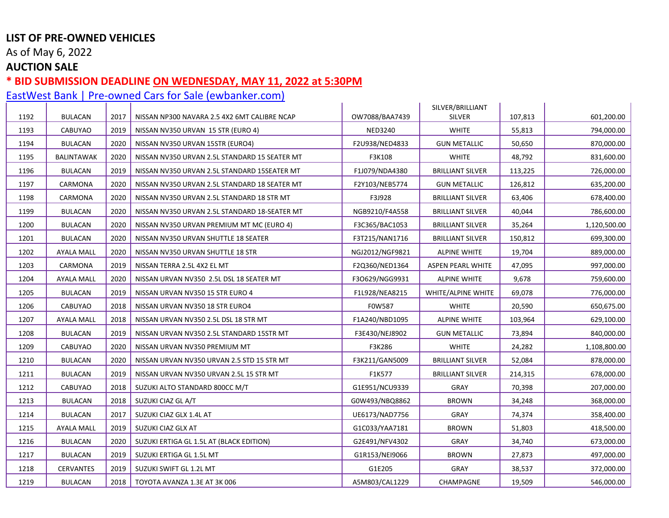As of May 6, 2022

## **AUCTION SALE**

### **\* BID SUBMISSION DEADLINE ON WEDNESDAY, MAY 11, 2022 at 5:30PM**

| 1192 | <b>BULACAN</b>    | 2017 | NISSAN NP300 NAVARA 2.5 4X2 6MT CALIBRE NCAP  | OW7088/BAA7439  | SILVER/BRILLIANT<br><b>SILVER</b> | 107,813 | 601,200.00   |
|------|-------------------|------|-----------------------------------------------|-----------------|-----------------------------------|---------|--------------|
| 1193 | <b>CABUYAO</b>    | 2019 | NISSAN NV350 URVAN 15 STR (EURO 4)            | <b>NED3240</b>  | <b>WHITE</b>                      | 55,813  | 794,000.00   |
| 1194 | <b>BULACAN</b>    | 2020 | NISSAN NV350 URVAN 15STR (EURO4)              | F2U938/NED4833  | <b>GUN METALLIC</b>               | 50,650  | 870,000.00   |
|      |                   |      |                                               |                 |                                   |         |              |
| 1195 | <b>BALINTAWAK</b> | 2020 | NISSAN NV350 URVAN 2.5L STANDARD 15 SEATER MT | F3K108          | <b>WHITE</b>                      | 48,792  | 831,600.00   |
| 1196 | <b>BULACAN</b>    | 2019 | NISSAN NV350 URVAN 2.5L STANDARD 15SEATER MT  | F1J079/NDA4380  | <b>BRILLIANT SILVER</b>           | 113,225 | 726,000.00   |
| 1197 | CARMONA           | 2020 | NISSAN NV350 URVAN 2.5L STANDARD 18 SEATER MT | F2Y103/NEB5774  | <b>GUN METALLIC</b>               | 126,812 | 635,200.00   |
| 1198 | CARMONA           | 2020 | NISSAN NV350 URVAN 2.5L STANDARD 18 STR MT    | F3J928          | <b>BRILLIANT SILVER</b>           | 63,406  | 678,400.00   |
| 1199 | <b>BULACAN</b>    | 2020 | NISSAN NV350 URVAN 2.5L STANDARD 18-SEATER MT | NGB9210/F4A558  | <b>BRILLIANT SILVER</b>           | 40,044  | 786,600.00   |
| 1200 | <b>BULACAN</b>    | 2020 | NISSAN NV350 URVAN PREMIUM MT MC (EURO 4)     | F3C365/BAC1053  | <b>BRILLIANT SILVER</b>           | 35,264  | 1,120,500.00 |
| 1201 | BULACAN           | 2020 | NISSAN NV350 URVAN SHUTTLE 18 SEATER          | F3T215/NAN1716  | <b>BRILLIANT SILVER</b>           | 150,812 | 699,300.00   |
| 1202 | <b>AYALA MALL</b> | 2020 | NISSAN NV350 URVAN SHUTTLE 18 STR             | NGJ2012/NGF9821 | <b>ALPINE WHITE</b>               | 19,704  | 889,000.00   |
| 1203 | CARMONA           | 2019 | NISSAN TERRA 2.5L 4X2 EL MT                   | F2Q360/NED1364  | <b>ASPEN PEARL WHITE</b>          | 47,095  | 997,000.00   |
| 1204 | AYALA MALL        | 2020 | NISSAN URVAN NV350 2.5L DSL 18 SEATER MT      | F3O629/NGG9931  | <b>ALPINE WHITE</b>               | 9,678   | 759,600.00   |
| 1205 | <b>BULACAN</b>    | 2019 | NISSAN URVAN NV350 15 STR EURO 4              | F1L928/NEA8215  | WHITE/ALPINE WHITE                | 69,078  | 776,000.00   |
| 1206 | CABUYAO           | 2018 | NISSAN URVAN NV350 18 STR EURO4               | F0W587          | <b>WHITE</b>                      | 20,590  | 650,675.00   |
| 1207 | AYALA MALL        | 2018 | NISSAN URVAN NV350 2.5L DSL 18 STR MT         | F1A240/NBD1095  | <b>ALPINE WHITE</b>               | 103,964 | 629,100.00   |
| 1208 | <b>BULACAN</b>    | 2019 | NISSAN URVAN NV350 2.5L STANDARD 15STR MT     | F3E430/NEJ8902  | <b>GUN METALLIC</b>               | 73,894  | 840,000.00   |
| 1209 | <b>CABUYAO</b>    | 2020 | NISSAN URVAN NV350 PREMIUM MT                 | F3K286          | <b>WHITE</b>                      | 24,282  | 1,108,800.00 |
| 1210 | <b>BULACAN</b>    | 2020 | NISSAN URVAN NV350 URVAN 2.5 STD 15 STR MT    | F3K211/GAN5009  | <b>BRILLIANT SILVER</b>           | 52,084  | 878,000.00   |
| 1211 | <b>BULACAN</b>    | 2019 | NISSAN URVAN NV350 URVAN 2.5L 15 STR MT       | F1K577          | <b>BRILLIANT SILVER</b>           | 214,315 | 678,000.00   |
| 1212 | <b>CABUYAO</b>    | 2018 | SUZUKI ALTO STANDARD 800CC M/T                | G1E951/NCU9339  | GRAY                              | 70,398  | 207,000.00   |
| 1213 | <b>BULACAN</b>    | 2018 | SUZUKI CIAZ GL A/T                            | G0W493/NBQ8862  | <b>BROWN</b>                      | 34,248  | 368,000.00   |
| 1214 | <b>BULACAN</b>    | 2017 | SUZUKI CIAZ GLX 1.4L AT                       | UE6173/NAD7756  | GRAY                              | 74,374  | 358,400.00   |
| 1215 | <b>AYALA MALL</b> | 2019 | SUZUKI CIAZ GLX AT                            | G1C033/YAA7181  | <b>BROWN</b>                      | 51,803  | 418,500.00   |
| 1216 | <b>BULACAN</b>    | 2020 | SUZUKI ERTIGA GL 1.5L AT (BLACK EDITION)      | G2E491/NFV4302  | GRAY                              | 34,740  | 673,000.00   |
| 1217 | <b>BULACAN</b>    | 2019 | SUZUKI ERTIGA GL 1.5L MT                      | G1R153/NEI9066  | <b>BROWN</b>                      | 27,873  | 497,000.00   |
| 1218 | CERVANTES         | 2019 | SUZUKI SWIFT GL 1.2L MT                       | G1E205          | GRAY                              | 38,537  | 372,000.00   |
| 1219 | <b>BULACAN</b>    | 2018 | TOYOTA AVANZA 1.3E AT 3K 006                  | A5M803/CAL1229  | CHAMPAGNE                         | 19,509  | 546,000.00   |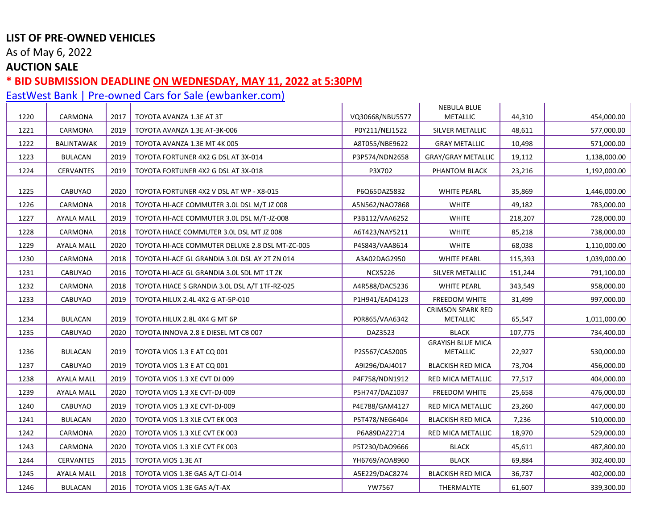As of May 6, 2022

## **AUCTION SALE**

### **\* BID SUBMISSION DEADLINE ON WEDNESDAY, MAY 11, 2022 at 5:30PM**

| 1220 | CARMONA           | 2017 | TOYOTA AVANZA 1.3E AT 3T                        | VQ30668/NBU5577 | <b>NEBULA BLUE</b><br><b>METALLIC</b>       | 44,310  | 454,000.00   |
|------|-------------------|------|-------------------------------------------------|-----------------|---------------------------------------------|---------|--------------|
| 1221 | CARMONA           | 2019 | TOYOTA AVANZA 1.3E AT-3K-006                    | P0Y211/NEJ1522  | SILVER METALLIC                             | 48,611  | 577,000.00   |
| 1222 | BALINTAWAK        | 2019 | TOYOTA AVANZA 1.3E MT 4K 005                    | A8T055/NBE9622  | <b>GRAY METALLIC</b>                        | 10,498  | 571,000.00   |
| 1223 | <b>BULACAN</b>    | 2019 | TOYOTA FORTUNER 4X2 G DSL AT 3X-014             | P3P574/NDN2658  | <b>GRAY/GRAY METALLIC</b>                   | 19,112  | 1,138,000.00 |
| 1224 | <b>CERVANTES</b>  | 2019 | TOYOTA FORTUNER 4X2 G DSL AT 3X-018             | P3X702          | PHANTOM BLACK                               | 23,216  | 1,192,000.00 |
| 1225 | <b>CABUYAO</b>    | 2020 | TOYOTA FORTUNER 4X2 V DSL AT WP - X8-015        | P6Q65DAZ5832    | <b>WHITE PEARL</b>                          | 35,869  | 1,446,000.00 |
| 1226 | CARMONA           | 2018 | TOYOTA HI-ACE COMMUTER 3.0L DSL M/T JZ 008      | A5N562/NAO7868  | <b>WHITE</b>                                | 49,182  | 783,000.00   |
| 1227 | <b>AYALA MALL</b> | 2019 | TOYOTA HI-ACE COMMUTER 3.0L DSL M/T-JZ-008      | P3B112/VAA6252  | <b>WHITE</b>                                | 218,207 | 728,000.00   |
| 1228 | CARMONA           | 2018 | TOYOTA HIACE COMMUTER 3.0L DSL MT JZ 008        | A6T423/NAY5211  | <b>WHITE</b>                                | 85,218  | 738,000.00   |
| 1229 | <b>AYALA MALL</b> | 2020 | TOYOTA HI-ACE COMMUTER DELUXE 2.8 DSL MT-ZC-005 | P4S843/VAA8614  | <b>WHITE</b>                                | 68,038  | 1,110,000.00 |
| 1230 | CARMONA           | 2018 | TOYOTA HI-ACE GL GRANDIA 3.0L DSL AY 2T ZN 014  | A3A02DAG2950    | <b>WHITE PEARL</b>                          | 115,393 | 1,039,000.00 |
| 1231 | CABUYAO           | 2016 | TOYOTA HI-ACE GL GRANDIA 3.0L SDL MT 1T ZK      | <b>NCX5226</b>  | SILVER METALLIC                             | 151,244 | 791,100.00   |
| 1232 | CARMONA           | 2018 | TOYOTA HIACE S GRANDIA 3.0L DSL A/T 1TF-RZ-025  | A4R588/DAC5236  | <b>WHITE PEARL</b>                          | 343,549 | 958,000.00   |
| 1233 | CABUYAO           | 2019 | TOYOTA HILUX 2.4L 4X2 G AT-5P-010               | P1H941/EAD4123  | FREEDOM WHITE                               | 31,499  | 997,000.00   |
| 1234 | <b>BULACAN</b>    | 2019 | TOYOTA HILUX 2.8L 4X4 G MT 6P                   | P0R865/VAA6342  | <b>CRIMSON SPARK RED</b><br><b>METALLIC</b> | 65,547  | 1,011,000.00 |
| 1235 | CABUYAO           | 2020 | TOYOTA INNOVA 2.8 E DIESEL MT CB 007            | DAZ3523         | <b>BLACK</b>                                | 107,775 | 734,400.00   |
| 1236 | <b>BULACAN</b>    | 2019 | TOYOTA VIOS 1.3 E AT CQ 001                     | P2S567/CAS2005  | <b>GRAYISH BLUE MICA</b><br><b>METALLIC</b> | 22,927  | 530,000.00   |
| 1237 | <b>CABUYAO</b>    | 2019 | <b>TOYOTA VIOS 1.3 E AT CQ 001</b>              | A9I296/DAJ4017  | <b>BLACKISH RED MICA</b>                    | 73,704  | 456,000.00   |
| 1238 | <b>AYALA MALL</b> | 2019 | TOYOTA VIOS 1.3 XE CVT DJ 009                   | P4F758/NDN1912  | <b>RED MICA METALLIC</b>                    | 77,517  | 404,000.00   |
| 1239 | <b>AYALA MALL</b> | 2020 | TOYOTA VIOS 1.3 XE CVT-DJ-009                   | P5H747/DAZ1037  | <b>FREEDOM WHITE</b>                        | 25,658  | 476,000.00   |
| 1240 | CABUYAO           | 2019 | TOYOTA VIOS 1.3 XE CVT-DJ-009                   | P4E788/GAM4127  | RED MICA METALLIC                           | 23,260  | 447,000.00   |
| 1241 | <b>BULACAN</b>    | 2020 | TOYOTA VIOS 1.3 XLE CVT EK 003                  | P5T478/NEG6404  | <b>BLACKISH RED MICA</b>                    | 7,236   | 510,000.00   |
| 1242 | CARMONA           | 2020 | TOYOTA VIOS 1.3 XLE CVT EK 003                  | P6A89DAZ2714    | RED MICA METALLIC                           | 18,970  | 529,000.00   |
| 1243 | CARMONA           | 2020 | TOYOTA VIOS 1.3 XLE CVT FK 003                  | P5T230/DAO9666  | <b>BLACK</b>                                | 45,611  | 487,800.00   |
| 1244 | <b>CERVANTES</b>  | 2015 | TOYOTA VIOS 1.3E AT                             | YH6769/AOA8960  | <b>BLACK</b>                                | 69,884  | 302,400.00   |
| 1245 | <b>AYALA MALL</b> | 2018 | TOYOTA VIOS 1.3E GAS A/T CJ-014                 | A5E229/DAC8274  | <b>BLACKISH RED MICA</b>                    | 36,737  | 402,000.00   |
| 1246 | <b>BULACAN</b>    | 2016 | TOYOTA VIOS 1.3E GAS A/T-AX                     | <b>YW7567</b>   | THERMALYTE                                  | 61,607  | 339,300.00   |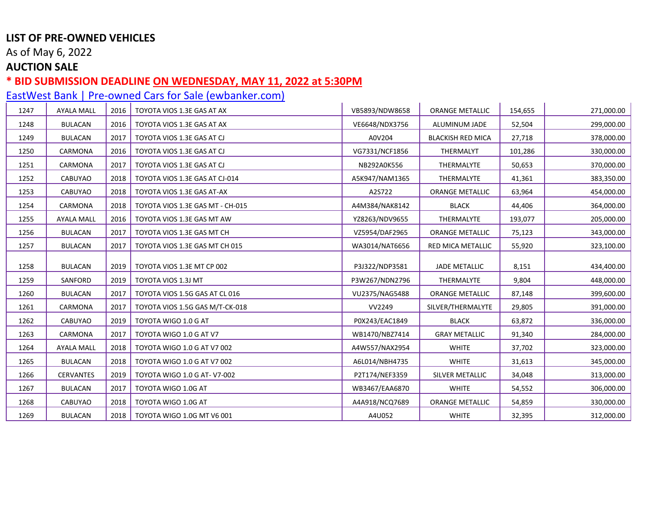As of May 6, 2022

## **AUCTION SALE**

### **\* BID SUBMISSION DEADLINE ON WEDNESDAY, MAY 11, 2022 at 5:30PM**

| 1247 | <b>AYALA MALL</b> | 2016 | TOYOTA VIOS 1.3E GAS AT AX       | VB5893/NDW8658 | <b>ORANGE METALLIC</b>   | 154,655 | 271,000.00 |
|------|-------------------|------|----------------------------------|----------------|--------------------------|---------|------------|
| 1248 | <b>BULACAN</b>    | 2016 | TOYOTA VIOS 1.3E GAS AT AX       | VE6648/NDX3756 | ALUMINUM JADE            | 52,504  | 299,000.00 |
| 1249 | <b>BULACAN</b>    | 2017 | TOYOTA VIOS 1.3E GAS AT CJ       | A0V204         | <b>BLACKISH RED MICA</b> | 27,718  | 378,000.00 |
| 1250 | CARMONA           | 2016 | TOYOTA VIOS 1.3E GAS AT CJ       | VG7331/NCF1856 | THERMALYT                | 101,286 | 330,000.00 |
| 1251 | CARMONA           | 2017 | TOYOTA VIOS 1.3E GAS AT CJ       | NB292A0K556    | THERMALYTE               | 50,653  | 370,000.00 |
| 1252 | CABUYAO           | 2018 | TOYOTA VIOS 1.3E GAS AT CJ-014   | A5K947/NAM1365 | THERMALYTE               | 41,361  | 383,350.00 |
| 1253 | CABUYAO           | 2018 | TOYOTA VIOS 1.3E GAS AT-AX       | A2S722         | ORANGE METALLIC          | 63,964  | 454,000.00 |
| 1254 | CARMONA           | 2018 | TOYOTA VIOS 1.3E GAS MT - CH-015 | A4M384/NAK8142 | <b>BLACK</b>             | 44,406  | 364,000.00 |
| 1255 | <b>AYALA MALL</b> | 2016 | TOYOTA VIOS 1.3E GAS MT AW       | YZ8263/NDV9655 | THERMALYTE               | 193,077 | 205,000.00 |
| 1256 | <b>BULACAN</b>    | 2017 | TOYOTA VIOS 1.3E GAS MT CH       | VZ5954/DAF2965 | <b>ORANGE METALLIC</b>   | 75,123  | 343,000.00 |
| 1257 | <b>BULACAN</b>    | 2017 | TOYOTA VIOS 1.3E GAS MT CH 015   | WA3014/NAT6656 | RED MICA METALLIC        | 55,920  | 323,100.00 |
|      |                   |      |                                  |                |                          |         |            |
| 1258 | <b>BULACAN</b>    | 2019 | TOYOTA VIOS 1.3E MT CP 002       | P3J322/NDP3581 | <b>JADE METALLIC</b>     | 8,151   | 434,400.00 |
| 1259 | SANFORD           | 2019 | TOYOTA VIOS 1.3J MT              | P3W267/NDN2796 | THERMALYTE               | 9,804   | 448,000.00 |
| 1260 | <b>BULACAN</b>    | 2017 | TOYOTA VIOS 1.5G GAS AT CL 016   | VU2375/NAG5488 | <b>ORANGE METALLIC</b>   | 87,148  | 399,600.00 |
| 1261 | CARMONA           | 2017 | TOYOTA VIOS 1.5G GAS M/T-CK-018  | VV2249         | SILVER/THERMALYTE        | 29,805  | 391,000.00 |
| 1262 | CABUYAO           | 2019 | TOYOTA WIGO 1.0 G AT             | P0X243/EAC1849 | <b>BLACK</b>             | 63,872  | 336,000.00 |
| 1263 | CARMONA           | 2017 | TOYOTA WIGO 1.0 G AT V7          | WB1470/NBZ7414 | <b>GRAY METALLIC</b>     | 91,340  | 284,000.00 |
| 1264 | <b>AYALA MALL</b> | 2018 | TOYOTA WIGO 1.0 G AT V7 002      | A4W557/NAX2954 | <b>WHITE</b>             | 37,702  | 323,000.00 |
| 1265 | <b>BULACAN</b>    | 2018 | TOYOTA WIGO 1.0 G AT V7 002      | A6L014/NBH4735 | <b>WHITE</b>             | 31,613  | 345,000.00 |
| 1266 | <b>CERVANTES</b>  | 2019 | TOYOTA WIGO 1.0 G AT- V7-002     | P2T174/NEF3359 | SILVER METALLIC          | 34,048  | 313,000.00 |
| 1267 | <b>BULACAN</b>    | 2017 | TOYOTA WIGO 1.0G AT              | WB3467/EAA6870 | <b>WHITE</b>             | 54,552  | 306,000.00 |
| 1268 | CABUYAO           | 2018 | TOYOTA WIGO 1.0G AT              | A4A918/NCQ7689 | <b>ORANGE METALLIC</b>   | 54,859  | 330,000.00 |
| 1269 | <b>BULACAN</b>    | 2018 | TOYOTA WIGO 1.0G MT V6 001       | A4U052         | <b>WHITE</b>             | 32,395  | 312,000.00 |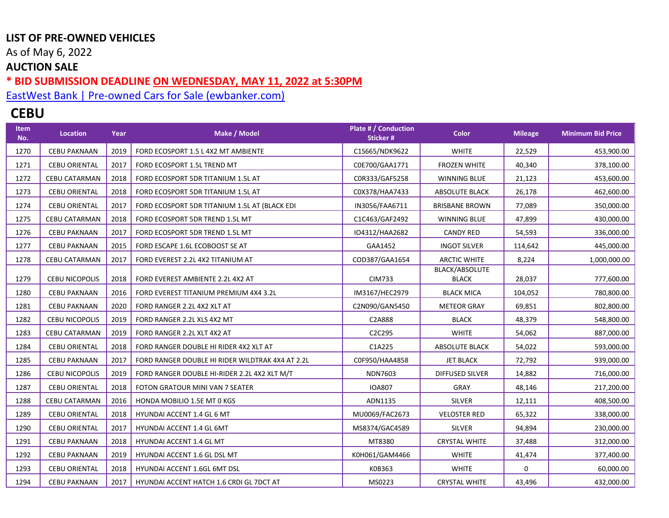As of May 6, 2022

## **AUCTION SALE**

#### **\* BID SUBMISSION DEADLINE ON WEDNESDAY, MAY 11, 2022 at 5:30PM**

[EastWest Bank | Pre-owned Cars for Sale \(ewbanker.com\)](https://www.ewbanker.com/Loans/PreOwned/Cars)

# **CEBU**

| <b>Item</b><br>No. | Location              | Year | Make / Model                                     | Plate # / Conduction<br><b>Sticker#</b> | <b>Color</b>                   | <b>Mileage</b> | <b>Minimum Bid Price</b> |
|--------------------|-----------------------|------|--------------------------------------------------|-----------------------------------------|--------------------------------|----------------|--------------------------|
| 1270               | <b>CEBU PAKNAAN</b>   | 2019 | FORD ECOSPORT 1.5 L 4X2 MT AMBIENTE              | C1S665/NDK9622                          | <b>WHITE</b>                   | 22,529         | 453,900.00               |
| 1271               | <b>CEBU ORIENTAL</b>  | 2017 | FORD ECOSPORT 1.5L TREND MT                      | C0E700/GAA1771                          | <b>FROZEN WHITE</b>            | 40,340         | 378,100.00               |
| 1272               | <b>CEBU CATARMAN</b>  | 2018 | FORD ECOSPORT 5DR TITANIUM 1.5L AT               | COR333/GAF5258                          | <b>WINNING BLUE</b>            | 21,123         | 453,600.00               |
| 1273               | <b>CEBU ORIENTAL</b>  | 2018 | FORD ECOSPORT 5DR TITANIUM 1.5L AT               | C0X378/HAA7433                          | <b>ABSOLUTE BLACK</b>          | 26,178         | 462,600.00               |
| 1274               | <b>CEBU ORIENTAL</b>  | 2017 | FORD ECOSPORT 5DR TITANIUM 1.5L AT (BLACK EDI    | IN3056/FAA6711                          | <b>BRISBANE BROWN</b>          | 77,089         | 350,000.00               |
| 1275               | CEBU CATARMAN         | 2018 | FORD ECOSPORT 5DR TREND 1.5L MT                  | C1C463/GAF2492                          | WINNING BLUE                   | 47,899         | 430,000.00               |
| 1276               | <b>CEBU PAKNAAN</b>   | 2017 | FORD ECOSPORT 5DR TREND 1.5L MT                  | IO4312/HAA2682                          | <b>CANDY RED</b>               | 54,593         | 336,000.00               |
| 1277               | <b>CEBU PAKNAAN</b>   | 2015 | FORD ESCAPE 1.6L ECOBOOST SE AT                  | GAA1452                                 | <b>INGOT SILVER</b>            | 114,642        | 445,000.00               |
| 1278               | <b>CEBU CATARMAN</b>  | 2017 | FORD EVEREST 2.2L 4X2 TITANIUM AT                | COD387/GAA1654                          | <b>ARCTIC WHITE</b>            | 8,224          | 1,000,000.00             |
| 1279               | <b>CEBU NICOPOLIS</b> | 2018 | FORD EVEREST AMBIENTE 2.2L 4X2 AT                | <b>CIM733</b>                           | BLACK/ABSOLUTE<br><b>BLACK</b> | 28,037         | 777,600.00               |
| 1280               | <b>CEBU PAKNAAN</b>   | 2016 | FORD EVEREST TITANIUM PREMIUM 4X4 3.2L           | IM3167/HEC2979                          | <b>BLACK MICA</b>              | 104,052        | 780,800.00               |
| 1281               | <b>CEBU PAKNAAN</b>   | 2020 | FORD RANGER 2.2L 4X2 XLT AT                      | C2N090/GAN5450                          | <b>METEOR GRAY</b>             | 69,851         | 802,800.00               |
| 1282               | <b>CEBU NICOPOLIS</b> | 2019 | FORD RANGER 2.2L XLS 4X2 MT                      | C2A888                                  | <b>BLACK</b>                   | 48,379         | 548,800.00               |
| 1283               | <b>CEBU CATARMAN</b>  | 2019 | FORD RANGER 2.2L XLT 4X2 AT                      | C2C295                                  | <b>WHITE</b>                   | 54,062         | 887,000.00               |
| 1284               | <b>CEBU ORIENTAL</b>  | 2018 | FORD RANGER DOUBLE HI RIDER 4X2 XLT AT           | C1A225                                  | ABSOLUTE BLACK                 | 54,022         | 593,000.00               |
| 1285               | <b>CEBU PAKNAAN</b>   | 2017 | FORD RANGER DOUBLE HI RIDER WILDTRAK 4X4 AT 2.2L | C0F950/HAA4858                          | <b>JET BLACK</b>               | 72,792         | 939,000.00               |
| 1286               | <b>CEBU NICOPOLIS</b> | 2019 | FORD RANGER DOUBLE HI-RIDER 2.2L 4X2 XLT M/T     | <b>NDN7603</b>                          | DIFFUSED SILVER                | 14,882         | 716,000.00               |
| 1287               | <b>CEBU ORIENTAL</b>  | 2018 | FOTON GRATOUR MINI VAN 7 SEATER                  | <b>IOA807</b>                           | GRAY                           | 48,146         | 217,200.00               |
| 1288               | <b>CEBU CATARMAN</b>  | 2016 | HONDA MOBILIO 1.5E MT 0 KGS                      | ADN1135                                 | <b>SILVER</b>                  | 12,111         | 408,500.00               |
| 1289               | <b>CEBU ORIENTAL</b>  | 2018 | HYUNDAI ACCENT 1.4 GL 6 MT                       | MU0069/FAC2673                          | <b>VELOSTER RED</b>            | 65,322         | 338,000.00               |
| 1290               | <b>CEBU ORIENTAL</b>  | 2017 | HYUNDAI ACCENT 1.4 GL 6MT                        | MS8374/GAC4589                          | <b>SILVER</b>                  | 94,894         | 230,000.00               |
| 1291               | <b>CEBU PAKNAAN</b>   | 2018 | HYUNDAI ACCENT 1.4 GL MT                         | MT8380                                  | <b>CRYSTAL WHITE</b>           | 37,488         | 312,000.00               |
| 1292               | <b>CEBU PAKNAAN</b>   | 2019 | HYUNDAI ACCENT 1.6 GL DSL MT                     | K0H061/GAM4466                          | <b>WHITE</b>                   | 41,474         | 377,400.00               |
| 1293               | <b>CEBU ORIENTAL</b>  | 2018 | HYUNDAI ACCENT 1.6GL 6MT DSL                     | K0B363                                  | <b>WHITE</b>                   | 0              | 60,000.00                |
| 1294               | <b>CEBU PAKNAAN</b>   | 2017 | HYUNDAI ACCENT HATCH 1.6 CRDI GL 7DCT AT         | MS0223                                  | <b>CRYSTAL WHITE</b>           | 43,496         | 432,000.00               |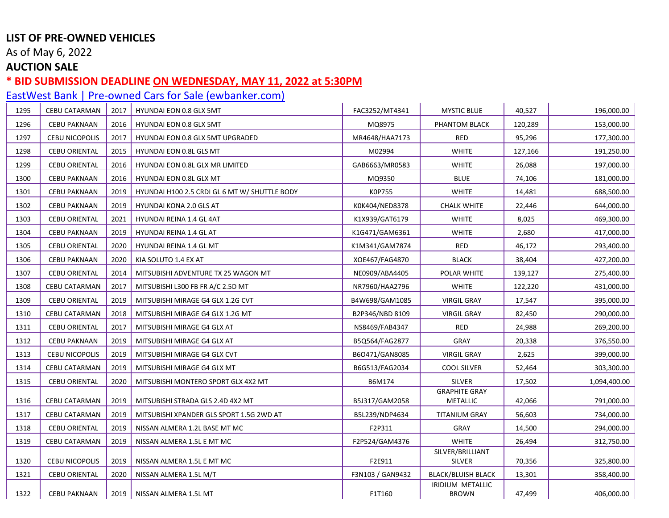As of May 6, 2022

## **AUCTION SALE**

### **\* BID SUBMISSION DEADLINE ON WEDNESDAY, MAY 11, 2022 at 5:30PM**

| 1295 | <b>CEBU CATARMAN</b>  | 2017 | <b>HYUNDAI EON 0.8 GLX 5MT</b>                | FAC3252/MT4341   | <b>MYSTIC BLUE</b>               | 40,527  | 196,000.00   |
|------|-----------------------|------|-----------------------------------------------|------------------|----------------------------------|---------|--------------|
| 1296 | <b>CEBU PAKNAAN</b>   | 2016 | <b>HYUNDAI EON 0.8 GLX 5MT</b>                | MQ8975           | PHANTOM BLACK                    | 120,289 | 153,000.00   |
| 1297 | <b>CEBU NICOPOLIS</b> | 2017 | HYUNDAI EON 0.8 GLX 5MT UPGRADED              | MR4648/HAA7173   | <b>RED</b>                       | 95,296  | 177,300.00   |
| 1298 | <b>CEBU ORIENTAL</b>  | 2015 | HYUNDAI EON 0.8L GLS MT                       | M02994           | <b>WHITE</b>                     | 127,166 | 191,250.00   |
| 1299 | <b>CEBU ORIENTAL</b>  | 2016 | HYUNDAI EON 0.8L GLX MR LIMITED               | GAB6663/MR0583   | <b>WHITE</b>                     | 26,088  | 197,000.00   |
| 1300 | <b>CEBU PAKNAAN</b>   | 2016 | HYUNDAI EON 0.8L GLX MT                       | MQ9350           | <b>BLUE</b>                      | 74,106  | 181,000.00   |
| 1301 | <b>CEBU PAKNAAN</b>   | 2019 | HYUNDAI H100 2.5 CRDI GL 6 MT W/ SHUTTLE BODY | K0P755           | <b>WHITE</b>                     | 14,481  | 688,500.00   |
| 1302 | <b>CEBU PAKNAAN</b>   | 2019 | HYUNDAI KONA 2.0 GLS AT                       | K0K404/NED8378   | <b>CHALK WHITE</b>               | 22,446  | 644,000.00   |
| 1303 | <b>CEBU ORIENTAL</b>  | 2021 | HYUNDAI REINA 1.4 GL 4AT                      | K1X939/GAT6179   | <b>WHITE</b>                     | 8,025   | 469,300.00   |
| 1304 | <b>CEBU PAKNAAN</b>   | 2019 | HYUNDAI REINA 1.4 GL AT                       | K1G471/GAM6361   | <b>WHITE</b>                     | 2,680   | 417,000.00   |
| 1305 | <b>CEBU ORIENTAL</b>  | 2020 | HYUNDAI REINA 1.4 GL MT                       | K1M341/GAM7874   | <b>RED</b>                       | 46,172  | 293,400.00   |
| 1306 | <b>CEBU PAKNAAN</b>   | 2020 | KIA SOLUTO 1.4 EX AT                          | XOE467/FAG4870   | <b>BLACK</b>                     | 38,404  | 427,200.00   |
| 1307 | <b>CEBU ORIENTAL</b>  | 2014 | MITSUBISHI ADVENTURE TX 25 WAGON MT           | NE0909/ABA4405   | POLAR WHITE                      | 139,127 | 275,400.00   |
| 1308 | <b>CEBU CATARMAN</b>  | 2017 | MITSUBISHI L300 FB FR A/C 2.5D MT             | NR7960/HAA2796   | <b>WHITE</b>                     | 122,220 | 431,000.00   |
| 1309 | <b>CEBU ORIENTAL</b>  | 2019 | MITSUBISHI MIRAGE G4 GLX 1.2G CVT             | B4W698/GAM1085   | <b>VIRGIL GRAY</b>               | 17,547  | 395,000.00   |
| 1310 | CEBU CATARMAN         | 2018 | MITSUBISHI MIRAGE G4 GLX 1.2G MT              | B2P346/NBD 8109  | <b>VIRGIL GRAY</b>               | 82,450  | 290,000.00   |
| 1311 | <b>CEBU ORIENTAL</b>  | 2017 | MITSUBISHI MIRAGE G4 GLX AT                   | NS8469/FAB4347   | <b>RED</b>                       | 24,988  | 269,200.00   |
| 1312 | <b>CEBU PAKNAAN</b>   | 2019 | MITSUBISHI MIRAGE G4 GLX AT                   | B5Q564/FAG2877   | <b>GRAY</b>                      | 20,338  | 376,550.00   |
| 1313 | <b>CEBU NICOPOLIS</b> | 2019 | MITSUBISHI MIRAGE G4 GLX CVT                  | B6O471/GAN8085   | <b>VIRGIL GRAY</b>               | 2,625   | 399,000.00   |
| 1314 | CEBU CATARMAN         | 2019 | MITSUBISHI MIRAGE G4 GLX MT                   | B6G513/FAG2034   | <b>COOL SILVER</b>               | 52,464  | 303,300.00   |
| 1315 | <b>CEBU ORIENTAL</b>  | 2020 | MITSUBISHI MONTERO SPORT GLX 4X2 MT           | B6M174           | <b>SILVER</b>                    | 17,502  | 1,094,400.00 |
| 1316 | CEBU CATARMAN         | 2019 | MITSUBISHI STRADA GLS 2.4D 4X2 MT             | B5J317/GAM2058   | <b>GRAPHITE GRAY</b><br>METALLIC | 42,066  | 791,000.00   |
| 1317 | <b>CEBU CATARMAN</b>  | 2019 | MITSUBISHI XPANDER GLS SPORT 1.5G 2WD AT      | B5L239/NDP4634   | <b>TITANIUM GRAY</b>             | 56,603  | 734,000.00   |
| 1318 | <b>CEBU ORIENTAL</b>  | 2019 | NISSAN ALMERA 1.2L BASE MT MC                 | F2P311           | <b>GRAY</b>                      | 14,500  | 294,000.00   |
| 1319 | CEBU CATARMAN         | 2019 | NISSAN ALMERA 1.5L E MT MC                    | F2P524/GAM4376   | <b>WHITE</b>                     | 26,494  | 312,750.00   |
| 1320 | <b>CEBU NICOPOLIS</b> | 2019 | NISSAN ALMERA 1.5L E MT MC                    | F2E911           | SILVER/BRILLIANT<br>SILVER       | 70,356  | 325,800.00   |
| 1321 | <b>CEBU ORIENTAL</b>  | 2020 | NISSAN ALMERA 1.5L M/T                        | F3N103 / GAN9432 | <b>BLACK/BLUISH BLACK</b>        | 13,301  | 358,400.00   |
| 1322 | <b>CEBU PAKNAAN</b>   | 2019 | NISSAN ALMERA 1.5L MT                         | F1T160           | IRIDIUM METALLIC<br><b>BROWN</b> | 47,499  | 406,000.00   |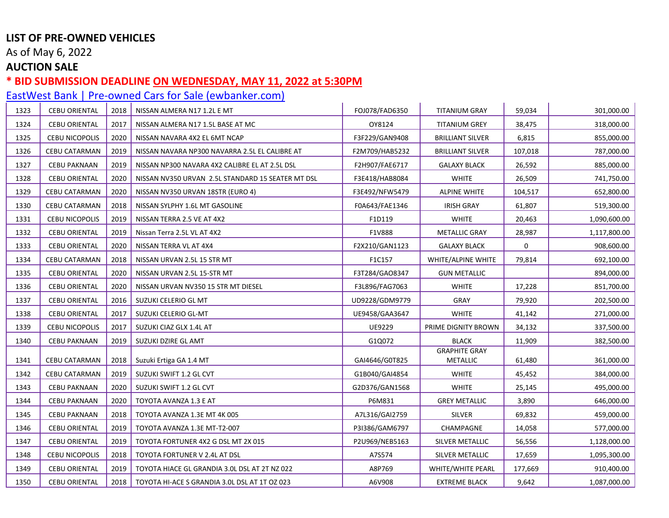As of May 6, 2022

## **AUCTION SALE**

### **\* BID SUBMISSION DEADLINE ON WEDNESDAY, MAY 11, 2022 at 5:30PM**

| 1323 | <b>CEBU ORIENTAL</b>  | 2018 | NISSAN ALMERA N17 1.2L E MT                       | FOJ078/FAD6350 | <b>TITANIUM GRAY</b>                    | 59,034       | 301,000.00   |
|------|-----------------------|------|---------------------------------------------------|----------------|-----------------------------------------|--------------|--------------|
| 1324 | <b>CEBU ORIENTAL</b>  | 2017 | NISSAN ALMERA N17 1.5L BASE AT MC                 | OY8124         | <b>TITANIUM GREY</b>                    | 38,475       | 318,000.00   |
| 1325 | <b>CEBU NICOPOLIS</b> | 2020 | NISSAN NAVARA 4X2 EL 6MT NCAP                     | F3F229/GAN9408 | <b>BRILLIANT SILVER</b>                 | 6,815        | 855,000.00   |
| 1326 | <b>CEBU CATARMAN</b>  | 2019 | NISSAN NAVARA NP300 NAVARRA 2.5L EL CALIBRE AT    | F2M709/HAB5232 | BRILLIANT SILVER                        | 107,018      | 787,000.00   |
| 1327 | <b>CEBU PAKNAAN</b>   | 2019 | NISSAN NP300 NAVARA 4X2 CALIBRE EL AT 2.5L DSL    | F2H907/FAE6717 | <b>GALAXY BLACK</b>                     | 26,592       | 885,000.00   |
| 1328 | <b>CEBU ORIENTAL</b>  | 2020 | NISSAN NV350 URVAN 2.5L STANDARD 15 SEATER MT DSL | F3E418/HAB8084 | <b>WHITE</b>                            | 26,509       | 741,750.00   |
| 1329 | CEBU CATARMAN         | 2020 | NISSAN NV350 URVAN 18STR (EURO 4)                 | F3E492/NFW5479 | <b>ALPINE WHITE</b>                     | 104,517      | 652,800.00   |
| 1330 | CEBU CATARMAN         | 2018 | NISSAN SYLPHY 1.6L MT GASOLINE                    | F0A643/FAE1346 | <b>IRISH GRAY</b>                       | 61,807       | 519,300.00   |
| 1331 | <b>CEBU NICOPOLIS</b> | 2019 | NISSAN TERRA 2.5 VE AT 4X2                        | F1D119         | <b>WHITE</b>                            | 20,463       | 1,090,600.00 |
| 1332 | <b>CEBU ORIENTAL</b>  | 2019 | Nissan Terra 2.5L VL AT 4X2                       | F1V888         | <b>METALLIC GRAY</b>                    | 28,987       | 1,117,800.00 |
| 1333 | <b>CEBU ORIENTAL</b>  | 2020 | NISSAN TERRA VL AT 4X4                            | F2X210/GAN1123 | <b>GALAXY BLACK</b>                     | $\mathsf{O}$ | 908,600.00   |
| 1334 | CEBU CATARMAN         | 2018 | NISSAN URVAN 2.5L 15 STR MT                       | F1C157         | WHITE/ALPINE WHITE                      | 79,814       | 692,100.00   |
| 1335 | <b>CEBU ORIENTAL</b>  | 2020 | NISSAN URVAN 2.5L 15-STR MT                       | F3T284/GAO8347 | <b>GUN METALLIC</b>                     |              | 894,000.00   |
| 1336 | <b>CEBU ORIENTAL</b>  | 2020 | NISSAN URVAN NV350 15 STR MT DIESEL               | F3L896/FAG7063 | <b>WHITE</b>                            | 17,228       | 851,700.00   |
| 1337 | <b>CEBU ORIENTAL</b>  | 2016 | SUZUKI CELERIO GL MT                              | UD9228/GDM9779 | <b>GRAY</b>                             | 79,920       | 202,500.00   |
| 1338 | <b>CEBU ORIENTAL</b>  | 2017 | SUZUKI CELERIO GL-MT                              | UE9458/GAA3647 | <b>WHITE</b>                            | 41,142       | 271,000.00   |
| 1339 | <b>CEBU NICOPOLIS</b> | 2017 | SUZUKI CIAZ GLX 1.4L AT                           | UE9229         | PRIME DIGNITY BROWN                     | 34,132       | 337,500.00   |
| 1340 | <b>CEBU PAKNAAN</b>   | 2019 | SUZUKI DZIRE GL AMT                               | G1Q072         | <b>BLACK</b>                            | 11,909       | 382,500.00   |
| 1341 | <b>CEBU CATARMAN</b>  | 2018 | Suzuki Ertiga GA 1.4 MT                           | GAI4646/G0T825 | <b>GRAPHITE GRAY</b><br><b>METALLIC</b> | 61,480       | 361,000.00   |
| 1342 | CEBU CATARMAN         | 2019 | SUZUKI SWIFT 1.2 GL CVT                           | G1B040/GAI4854 | <b>WHITE</b>                            | 45,452       | 384,000.00   |
| 1343 | <b>CEBU PAKNAAN</b>   | 2020 | SUZUKI SWIFT 1.2 GL CVT                           | G2D376/GAN1568 | <b>WHITE</b>                            | 25,145       | 495,000.00   |
| 1344 | <b>CEBU PAKNAAN</b>   | 2020 | TOYOTA AVANZA 1.3 E AT                            | P6M831         | <b>GREY METALLIC</b>                    | 3,890        | 646,000.00   |
| 1345 | <b>CEBU PAKNAAN</b>   | 2018 | TOYOTA AVANZA 1.3E MT 4K 005                      | A7L316/GAI2759 | <b>SILVER</b>                           | 69,832       | 459,000.00   |
| 1346 | <b>CEBU ORIENTAL</b>  | 2019 | TOYOTA AVANZA 1.3E MT-T2-007                      | P3I386/GAM6797 | CHAMPAGNE                               | 14,058       | 577,000.00   |
| 1347 | <b>CEBU ORIENTAL</b>  | 2019 | TOYOTA FORTUNER 4X2 G DSL MT 2X 015               | P2U969/NEB5163 | SILVER METALLIC                         | 56,556       | 1,128,000.00 |
| 1348 | <b>CEBU NICOPOLIS</b> | 2018 | TOYOTA FORTUNER V 2.4L AT DSL                     | A7S574         | SILVER METALLIC                         | 17,659       | 1,095,300.00 |
| 1349 | <b>CEBU ORIENTAL</b>  | 2019 | TOYOTA HIACE GL GRANDIA 3.0L DSL AT 2T NZ 022     | A8P769         | WHITE/WHITE PEARL                       | 177,669      | 910,400.00   |
| 1350 | <b>CEBU ORIENTAL</b>  | 2018 | TOYOTA HI-ACE S GRANDIA 3.0L DSL AT 1T OZ 023     | A6V908         | <b>EXTREME BLACK</b>                    | 9,642        | 1,087,000.00 |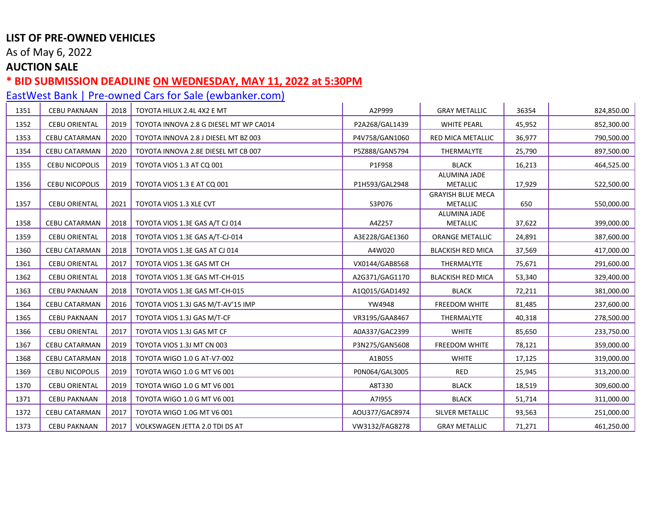As of May 6, 2022

## **AUCTION SALE**

### **\* BID SUBMISSION DEADLINE ON WEDNESDAY, MAY 11, 2022 at 5:30PM**

| 1351 | <b>CEBU PAKNAAN</b>   | 2018 | TOYOTA HILUX 2.4L 4X2 E MT             | A2P999         | <b>GRAY METALLIC</b>                        | 36354  | 824,850.00 |
|------|-----------------------|------|----------------------------------------|----------------|---------------------------------------------|--------|------------|
| 1352 | <b>CEBU ORIENTAL</b>  | 2019 | TOYOTA INNOVA 2.8 G DIESEL MT WP CA014 | P2A268/GAL1439 | <b>WHITE PEARL</b>                          | 45,952 | 852,300.00 |
| 1353 | <b>CEBU CATARMAN</b>  | 2020 | TOYOTA INNOVA 2.8 J DIESEL MT BZ 003   | P4V758/GAN1060 | RED MICA METALLIC                           | 36,977 | 790,500.00 |
| 1354 | <b>CEBU CATARMAN</b>  | 2020 | TOYOTA INNOVA 2.8E DIESEL MT CB 007    | P5Z888/GAN5794 | THERMALYTE                                  | 25,790 | 897,500.00 |
| 1355 | <b>CEBU NICOPOLIS</b> | 2019 | TOYOTA VIOS 1.3 AT CQ 001              | P1F958         | <b>BLACK</b>                                | 16,213 | 464,525.00 |
| 1356 | <b>CEBU NICOPOLIS</b> | 2019 | TOYOTA VIOS 1.3 E AT CQ 001            | P1H593/GAL2948 | <b>ALUMINA JADE</b><br><b>METALLIC</b>      | 17,929 | 522,500.00 |
| 1357 | <b>CEBU ORIENTAL</b>  | 2021 | TOYOTA VIOS 1.3 XLE CVT                | S3P076         | <b>GRAYISH BLUE MECA</b><br><b>METALLIC</b> | 650    | 550,000.00 |
| 1358 | CEBU CATARMAN         | 2018 | TOYOTA VIOS 1.3E GAS A/T CJ 014        | A4Z257         | <b>ALUMINA JADE</b><br><b>METALLIC</b>      | 37,622 | 399,000.00 |
| 1359 | <b>CEBU ORIENTAL</b>  | 2018 | TOYOTA VIOS 1.3E GAS A/T-CJ-014        | A3E228/GAE1360 | <b>ORANGE METALLIC</b>                      | 24,891 | 387,600.00 |
| 1360 | CEBU CATARMAN         | 2018 | TOYOTA VIOS 1.3E GAS AT CJ 014         | A4W020         | <b>BLACKISH RED MICA</b>                    | 37,569 | 417,000.00 |
| 1361 | <b>CEBU ORIENTAL</b>  | 2017 | TOYOTA VIOS 1.3E GAS MT CH             | VX0144/GAB8568 | THERMALYTE                                  | 75,671 | 291,600.00 |
| 1362 | <b>CEBU ORIENTAL</b>  | 2018 | TOYOTA VIOS 1.3E GAS MT-CH-015         | A2G371/GAG1170 | <b>BLACKISH RED MICA</b>                    | 53,340 | 329,400.00 |
| 1363 | <b>CEBU PAKNAAN</b>   | 2018 | TOYOTA VIOS 1.3E GAS MT-CH-015         | A1Q015/GAD1492 | <b>BLACK</b>                                | 72,211 | 381,000.00 |
| 1364 | <b>CEBU CATARMAN</b>  | 2016 | TOYOTA VIOS 1.3J GAS M/T-AV'15 IMP     | YW4948         | FREEDOM WHITE                               | 81,485 | 237,600.00 |
| 1365 | <b>CEBU PAKNAAN</b>   | 2017 | TOYOTA VIOS 1.3J GAS M/T-CF            | VR3195/GAA8467 | THERMALYTE                                  | 40,318 | 278,500.00 |
| 1366 | <b>CEBU ORIENTAL</b>  | 2017 | TOYOTA VIOS 1.3J GAS MT CF             | A0A337/GAC2399 | <b>WHITE</b>                                | 85,650 | 233,750.00 |
| 1367 | <b>CEBU CATARMAN</b>  | 2019 | TOYOTA VIOS 1.3J MT CN 003             | P3N275/GAN5608 | FREEDOM WHITE                               | 78,121 | 359,000.00 |
| 1368 | <b>CEBU CATARMAN</b>  | 2018 | TOYOTA WIGO 1.0 G AT-V7-002            | A1B055         | <b>WHITE</b>                                | 17,125 | 319,000.00 |
| 1369 | <b>CEBU NICOPOLIS</b> | 2019 | TOYOTA WIGO 1.0 G MT V6 001            | P0N064/GAL3005 | <b>RED</b>                                  | 25,945 | 313,200.00 |
| 1370 | <b>CEBU ORIENTAL</b>  | 2019 | TOYOTA WIGO 1.0 G MT V6 001            | A8T330         | <b>BLACK</b>                                | 18,519 | 309,600.00 |
| 1371 | <b>CEBU PAKNAAN</b>   | 2018 | TOYOTA WIGO 1.0 G MT V6 001            | A71955         | <b>BLACK</b>                                | 51,714 | 311,000.00 |
| 1372 | <b>CEBU CATARMAN</b>  | 2017 | TOYOTA WIGO 1.0G MT V6 001             | AOU377/GAC8974 | SILVER METALLIC                             | 93,563 | 251,000.00 |
| 1373 | <b>CEBU PAKNAAN</b>   | 2017 | VOLKSWAGEN JETTA 2.0 TDI DS AT         | VW3132/FAG8278 | <b>GRAY METALLIC</b>                        | 71,271 | 461,250.00 |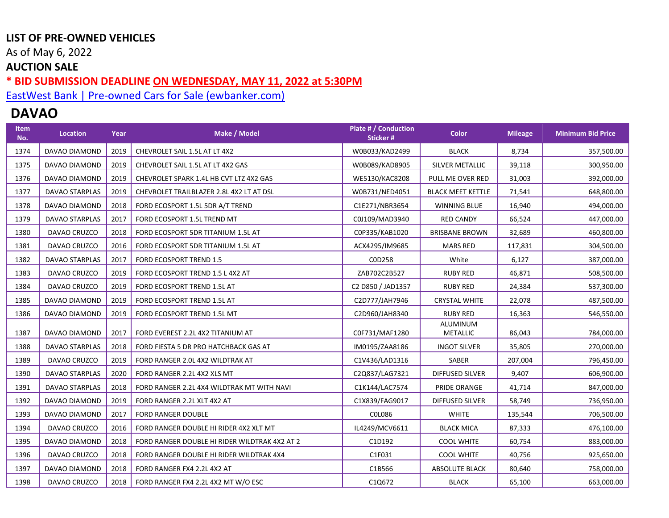As of May 6, 2022

## **AUCTION SALE**

**\* BID SUBMISSION DEADLINE ON WEDNESDAY, MAY 11, 2022 at 5:30PM** 

[EastWest Bank | Pre-owned Cars for Sale \(ewbanker.com\)](https://www.ewbanker.com/Loans/PreOwned/Cars)

# **DAVAO**

| <b>Item</b><br>No. | Location       | Year | Make / Model                                  | Plate # / Conduction<br><b>Sticker#</b> | <b>Color</b>                | <b>Mileage</b> | <b>Minimum Bid Price</b> |
|--------------------|----------------|------|-----------------------------------------------|-----------------------------------------|-----------------------------|----------------|--------------------------|
| 1374               | DAVAO DIAMOND  | 2019 | CHEVROLET SAIL 1.5L AT LT 4X2                 | W0B033/KAD2499                          | <b>BLACK</b>                | 8,734          | 357,500.00               |
| 1375               | DAVAO DIAMOND  | 2019 | CHEVROLET SAIL 1.5L AT LT 4X2 GAS             | W0B089/KAD8905                          | SILVER METALLIC             | 39,118         | 300,950.00               |
| 1376               | DAVAO DIAMOND  | 2019 | CHEVROLET SPARK 1.4L HB CVT LTZ 4X2 GAS       | WE5130/KAC8208                          | PULL ME OVER RED            | 31,003         | 392,000.00               |
| 1377               | DAVAO STARPLAS | 2019 | CHEVROLET TRAILBLAZER 2.8L 4X2 LT AT DSL      | W0B731/NED4051                          | <b>BLACK MEET KETTLE</b>    | 71,541         | 648,800.00               |
| 1378               | DAVAO DIAMOND  | 2018 | FORD ECOSPORT 1.5L 5DR A/T TREND              | C1E271/NBR3654                          | WINNING BLUE                | 16,940         | 494,000.00               |
| 1379               | DAVAO STARPLAS | 2017 | FORD ECOSPORT 1.5L TREND MT                   | C0J109/MAD3940                          | <b>RED CANDY</b>            | 66,524         | 447,000.00               |
| 1380               | DAVAO CRUZCO   | 2018 | FORD ECOSPORT 5DR TITANIUM 1.5L AT            | C0P335/KAB1020                          | <b>BRISBANE BROWN</b>       | 32,689         | 460,800.00               |
| 1381               | DAVAO CRUZCO   | 2016 | FORD ECOSPORT 5DR TITANIUM 1.5L AT            | ACX4295/IM9685                          | <b>MARS RED</b>             | 117,831        | 304,500.00               |
| 1382               | DAVAO STARPLAS | 2017 | FORD ECOSPORT TREND 1.5                       | C0D258                                  | White                       | 6,127          | 387,000.00               |
| 1383               | DAVAO CRUZCO   | 2019 | FORD ECOSPORT TREND 1.5 L 4X2 AT              | ZAB702C2B527                            | <b>RUBY RED</b>             | 46,871         | 508,500.00               |
| 1384               | DAVAO CRUZCO   | 2019 | FORD ECOSPORT TREND 1.5L AT                   | C2 D850 / JAD1357                       | <b>RUBY RED</b>             | 24,384         | 537,300.00               |
| 1385               | DAVAO DIAMOND  | 2019 | FORD ECOSPORT TREND 1.5L AT                   | C2D777/JAH7946                          | <b>CRYSTAL WHITE</b>        | 22,078         | 487,500.00               |
| 1386               | DAVAO DIAMOND  | 2019 | FORD ECOSPORT TREND 1.5L MT                   | C2D960/JAH8340                          | <b>RUBY RED</b>             | 16,363         | 546,550.00               |
| 1387               | DAVAO DIAMOND  | 2017 | FORD EVEREST 2.2L 4X2 TITANIUM AT             | C0F731/MAF1280                          | ALUMINUM<br><b>METALLIC</b> | 86,043         | 784,000.00               |
| 1388               | DAVAO STARPLAS | 2018 | FORD FIESTA 5 DR PRO HATCHBACK GAS AT         | IM0195/ZAA8186                          | <b>INGOT SILVER</b>         | 35,805         | 270,000.00               |
| 1389               | DAVAO CRUZCO   | 2019 | FORD RANGER 2.0L 4X2 WILDTRAK AT              | C1V436/LAD1316                          | SABER                       | 207,004        | 796,450.00               |
| 1390               | DAVAO STARPLAS | 2020 | FORD RANGER 2.2L 4X2 XLS MT                   | C2Q837/LAG7321                          | DIFFUSED SILVER             | 9,407          | 606,900.00               |
| 1391               | DAVAO STARPLAS | 2018 | FORD RANGER 2.2L 4X4 WILDTRAK MT WITH NAVI    | C1K144/LAC7574                          | PRIDE ORANGE                | 41,714         | 847,000.00               |
| 1392               | DAVAO DIAMOND  | 2019 | FORD RANGER 2.2L XLT 4X2 AT                   | C1X839/FAG9017                          | DIFFUSED SILVER             | 58,749         | 736,950.00               |
| 1393               | DAVAO DIAMOND  | 2017 | <b>FORD RANGER DOUBLE</b>                     | COL086                                  | <b>WHITE</b>                | 135,544        | 706,500.00               |
| 1394               | DAVAO CRUZCO   | 2016 | FORD RANGER DOUBLE HI RIDER 4X2 XLT MT        | IL4249/MCV6611                          | <b>BLACK MICA</b>           | 87,333         | 476,100.00               |
| 1395               | DAVAO DIAMOND  | 2018 | FORD RANGER DOUBLE HI RIDER WILDTRAK 4X2 AT 2 | C1D192                                  | <b>COOL WHITE</b>           | 60,754         | 883,000.00               |
| 1396               | DAVAO CRUZCO   | 2018 | FORD RANGER DOUBLE HI RIDER WILDTRAK 4X4      | C1F031                                  | <b>COOL WHITE</b>           | 40,756         | 925,650.00               |
| 1397               | DAVAO DIAMOND  | 2018 | FORD RANGER FX4 2.2L 4X2 AT                   | C1B566                                  | ABSOLUTE BLACK              | 80,640         | 758,000.00               |
| 1398               | DAVAO CRUZCO   | 2018 | FORD RANGER FX4 2.2L 4X2 MT W/O ESC           | C1Q672                                  | <b>BLACK</b>                | 65,100         | 663,000.00               |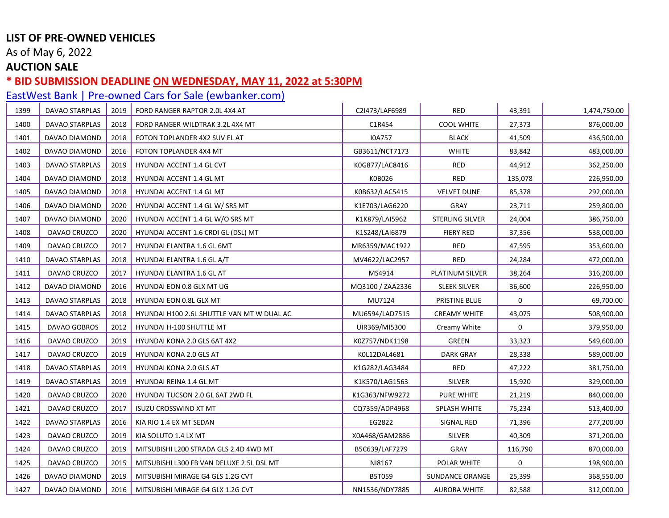As of May 6, 2022

## **AUCTION SALE**

### **\* BID SUBMISSION DEADLINE ON WEDNESDAY, MAY 11, 2022 at 5:30PM**

| 1399 | DAVAO STARPLAS        | 2019 | FORD RANGER RAPTOR 2.0L 4X4 AT             | C2I473/LAF6989   | RED                 | 43,391      | 1,474,750.00 |
|------|-----------------------|------|--------------------------------------------|------------------|---------------------|-------------|--------------|
| 1400 | DAVAO STARPLAS        | 2018 | FORD RANGER WILDTRAK 3.2L 4X4 MT           | C1R454           | <b>COOL WHITE</b>   | 27,373      | 876,000.00   |
| 1401 | DAVAO DIAMOND         | 2018 | FOTON TOPLANDER 4X2 SUV EL AT              | I0A757           | <b>BLACK</b>        | 41,509      | 436,500.00   |
| 1402 | DAVAO DIAMOND         | 2016 | FOTON TOPLANDER 4X4 MT                     | GB3611/NCT7173   | <b>WHITE</b>        | 83,842      | 483,000.00   |
| 1403 | DAVAO STARPLAS        | 2019 | HYUNDAI ACCENT 1.4 GL CVT                  | K0G877/LAC8416   | RED                 | 44,912      | 362,250.00   |
| 1404 | DAVAO DIAMOND         | 2018 | HYUNDAI ACCENT 1.4 GL MT                   | K0B026           | RED                 | 135,078     | 226,950.00   |
| 1405 | DAVAO DIAMOND         | 2018 | HYUNDAI ACCENT 1.4 GL MT                   | K0B632/LAC5415   | <b>VELVET DUNE</b>  | 85,378      | 292,000.00   |
| 1406 | DAVAO DIAMOND         | 2020 | HYUNDAI ACCENT 1.4 GL W/ SRS MT            | K1E703/LAG6220   | <b>GRAY</b>         | 23,711      | 259,800.00   |
| 1407 | DAVAO DIAMOND         | 2020 | HYUNDAI ACCENT 1.4 GL W/O SRS MT           | K1K879/LAI5962   | STERLING SILVER     | 24,004      | 386,750.00   |
| 1408 | DAVAO CRUZCO          | 2020 | HYUNDAI ACCENT 1.6 CRDI GL (DSL) MT        | K1S248/LAI6879   | <b>FIERY RED</b>    | 37,356      | 538,000.00   |
| 1409 | DAVAO CRUZCO          | 2017 | HYUNDAI ELANTRA 1.6 GL 6MT                 | MR6359/MAC1922   | <b>RED</b>          | 47,595      | 353,600.00   |
| 1410 | DAVAO STARPLAS        | 2018 | HYUNDAI ELANTRA 1.6 GL A/T                 | MV4622/LAC2957   | RED                 | 24,284      | 472,000.00   |
| 1411 | DAVAO CRUZCO          | 2017 | HYUNDAI ELANTRA 1.6 GL AT                  | MS4914           | PLATINUM SILVER     | 38,264      | 316,200.00   |
| 1412 | DAVAO DIAMOND         | 2016 | HYUNDAI EON 0.8 GLX MT UG                  | MQ3100 / ZAA2336 | <b>SLEEK SILVER</b> | 36,600      | 226,950.00   |
| 1413 | DAVAO STARPLAS        | 2018 | HYUNDAI EON 0.8L GLX MT                    | MU7124           | PRISTINE BLUE       | 0           | 69,700.00    |
| 1414 | DAVAO STARPLAS        | 2018 | HYUNDAI H100 2.6L SHUTTLE VAN MT W DUAL AC | MU6594/LAD7515   | <b>CREAMY WHITE</b> | 43,075      | 508,900.00   |
| 1415 | DAVAO GOBROS          | 2012 | HYUNDAI H-100 SHUTTLE MT                   | UIR369/MI5300    | Creamy White        | $\mathbf 0$ | 379,950.00   |
| 1416 | DAVAO CRUZCO          | 2019 | HYUNDAI KONA 2.0 GLS 6AT 4X2               | K0Z757/NDK1198   | GREEN               | 33,323      | 549,600.00   |
| 1417 | DAVAO CRUZCO          | 2019 | HYUNDAI KONA 2.0 GLS AT                    | K0L12DAL4681     | <b>DARK GRAY</b>    | 28,338      | 589,000.00   |
| 1418 | <b>DAVAO STARPLAS</b> | 2019 | HYUNDAI KONA 2.0 GLS AT                    | K1G282/LAG3484   | RED                 | 47,222      | 381,750.00   |
| 1419 | DAVAO STARPLAS        | 2019 | HYUNDAI REINA 1.4 GL MT                    | K1K570/LAG1563   | SILVER              | 15,920      | 329,000.00   |
| 1420 | DAVAO CRUZCO          | 2020 | HYUNDAI TUCSON 2.0 GL 6AT 2WD FL           | K1G363/NFW9272   | <b>PURE WHITE</b>   | 21,219      | 840,000.00   |
| 1421 | DAVAO CRUZCO          | 2017 | ISUZU CROSSWIND XT MT                      | CQ7359/ADP4968   | SPLASH WHITE        | 75,234      | 513,400.00   |
| 1422 | DAVAO STARPLAS        | 2016 | KIA RIO 1.4 EX MT SEDAN                    | EG2822           | SIGNAL RED          | 71,396      | 277,200.00   |
| 1423 | DAVAO CRUZCO          | 2019 | KIA SOLUTO 1.4 LX MT                       | X0A468/GAM2886   | <b>SILVER</b>       | 40,309      | 371,200.00   |
| 1424 | DAVAO CRUZCO          | 2019 | MITSUBISHI L200 STRADA GLS 2.4D 4WD MT     | B5C639/LAF7279   | GRAY                | 116,790     | 870,000.00   |
| 1425 | DAVAO CRUZCO          | 2015 | MITSUBISHI L300 FB VAN DELUXE 2.5L DSL MT  | NI8167           | POLAR WHITE         | 0           | 198,900.00   |
| 1426 | DAVAO DIAMOND         | 2019 | MITSUBISHI MIRAGE G4 GLS 1.2G CVT          | B5T059           | SUNDANCE ORANGE     | 25,399      | 368,550.00   |
| 1427 | DAVAO DIAMOND         | 2016 | MITSUBISHI MIRAGE G4 GLX 1.2G CVT          | NN1536/NDY7885   | <b>AURORA WHITE</b> | 82,588      | 312,000.00   |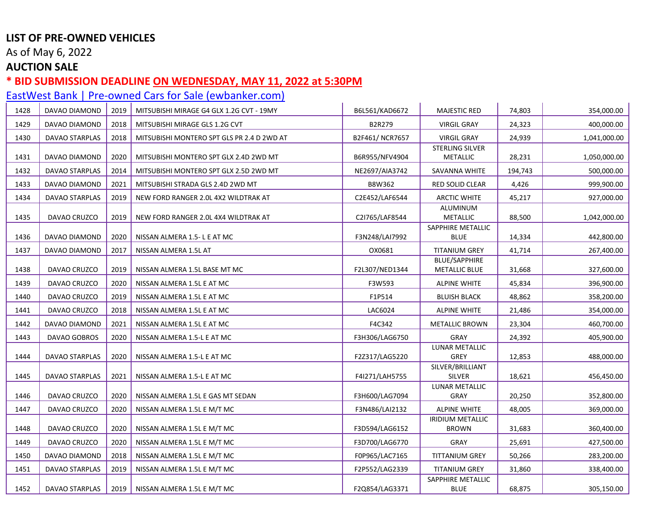As of May 6, 2022

#### **AUCTION SALE**

#### **\* BID SUBMISSION DEADLINE ON WEDNESDAY, MAY 11, 2022 at 5:30PM**

1452 DAVAO STARPLAS 2019 NISSAN ALMERA 1.5L E M/T MC F2Q854/LAG3371

[EastWest Bank | Pre-owned Cars for Sale \(ewbanker.com\)](https://www.ewbanker.com/Loans/PreOwned/Cars) 1428 DAVAO DIAMOND 2019 MITSUBISHI MIRAGE G4 GLX 1.2G CVT - 19MY B6L561/KAD6672 MAJESTIC RED 74,803 354,000.00 1429 DAVAO DIAMOND 2018 MITSUBISHI MIRAGE GLS 1.2G CVT B2R279 VIRGIL GRAY 24,323 400,000.00 1430 DAVAO STARPLAS 2018 MITSUBISHI MONTERO SPT GLS PR 2.4 D 2WD AT B2F461/ NCR7657 VIRGIL GRAY 24,939 1,041,000.00 1431 DAVAO DIAMOND 2020 MITSUBISHI MONTERO SPT GLX 2.4D 2WD MT STERLING SILVER METALLIC | 28.231 | 1.050.000.00 1432 DAVAO STARPLAS 2014 MITSUBISHI MONTERO SPT GLX 2.5D 2WD MT NE2697/AIA3742 SAVANNA WHITE 194,743 500,000.00 1433 DAVAO DIAMOND 2021 MITSUBISHI STRADA GLS 2.4D 2WD MT B8W362 RED SOLID CLEAR 4,426 999,900.00 1434 DAVAO STARPLAS 2019 NEW FORD RANGER 2.0L 4X2 WILDTRAK AT C2E452/LAF6544 ARCTIC WHITE 45,217 927,000.00 1435 DAVAO CRUZCO 2019 NEW FORD RANGER 2.0L 4X4 WILDTRAK AT C2I765/LAF8544 ALUMINUM METALLIC | 88.500 | 1.042.000.00 1436 DAVAO DIAMOND 2020 NISSAN ALMERA 1.5-LE AT MC FEMILE RESOLUTION RESOLUTION AND FEMILE RESOLUTION AND RESOLU SAPPHIRE METALLIC BLUE 14.334 442,800.00 1437 DAVAO DIAMOND 2017 NISSAN ALMERA 1.5L AT OX0681 TITANIUM GREY 41,714 267,400.00 1438 DAVAO CRUZCO | 2019 | NISSAN ALMERA 1.5L BASE MT MC **FALSO FALSO | FEL307/NED1344** BLUE/SAPPHIRE METALLIC BLUE 31,668 327,600.00 1439 | DAVAO CRUZCO | 2020 | NISSAN ALMERA 1.5L E AT MC **ALPINE 1999 | SALPINE WHITE | 45,834 | 1996,900.00** 1440 DAVAO CRUZCO 2019 NISSAN ALMERA 1.5L E AT MC F1P514 BLUISH BLACK 48,862 358,200.00 1441 DAVAO CRUZCO 2018 NISSAN ALMERA 1.5L E AT MC LAC6024 ALPINE WHITE 21,486 354,000.00 1442 DAVAO DIAMOND 2021 NISSAN ALMERA 1.5L E AT MC F4C342 METALLIC BROWN 23,304 460,700.00 1443 DAVAO GOBROS 2020 NISSAN ALMERA 1.5-L E AT MC F3H306/LAG6750 GRAY 24,392 405,900.00 1444 DAVAO STARPLAS | 2020 | NISSAN ALMERA 1.5-L E AT MC F2Z317 | E2Z317 | F2Z317 | LAG5220 LUNAR METALLIC GREY | 12,853 | 488,000.00 1445 DAVAO STARPLAS 1 2021 NISSAN ALMERA 1.5-L E AT MC FALL FALL FOR THE F4I271/LAH5755 SILVER/BRILLIANT SILVER 18.621 456.450.00 1446 | DAVAO CRUZCO | 2020 | NISSAN ALMERA 1.5L E GAS MT SEDAN FANSICO | F3H600/LAG7094 LUNAR METALLIC GRAY 20,250 352,800.00 1447 | DAVAO CRUZCO | 2020 | NISSAN ALMERA 1.5L E M/T MC **FALLLE FOR ALPINE ALPINE WHITE | 48,005 | 369,000.00** 1448 | DAVAO CRUZCO | 2020 | NISSAN ALMERA 1.5L E M/T MC | TRIMAGO | F3D594/LAG6152 IRIDIUM METALLIC BROWN 31,683 360,400.00 1449 DAVAO CRUZCO 2020 NISSAN ALMERA 1.5L E M/T MC F3D700/LAG6770 GRAY 25,691 427,500.00 1450 | DAVAO DIAMOND | 2018 | NISSAN ALMERA 1.5L E M/T MC **FOPDES/LACTIGS | TITTANIUM GREY | 50,266** | 283,200.00 1451 DAVAO STARPLAS 2019 NISSAN ALMERA 1.5L E M/T MC F2P552/LAG2339 TITANIUM GREY 31,860 338,400.00 SAPPHIRE METALLIC

BLUE | 68,875 | 305,150.00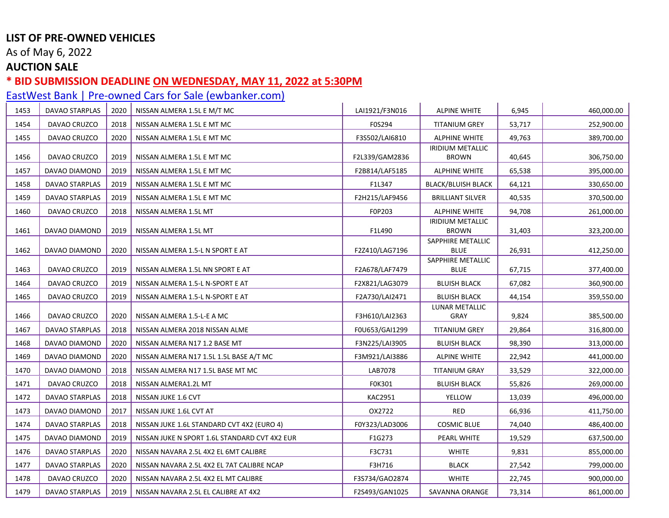As of May 6, 2022

## **AUCTION SALE**

### **\* BID SUBMISSION DEADLINE ON WEDNESDAY, MAY 11, 2022 at 5:30PM**

| 1453 | <b>DAVAO STARPLAS</b> | 2020 | NISSAN ALMERA 1.5L E M/T MC                   | LAI1921/F3N016 | <b>ALPINE WHITE</b>                     | 6,945  | 460,000.00 |
|------|-----------------------|------|-----------------------------------------------|----------------|-----------------------------------------|--------|------------|
| 1454 | DAVAO CRUZCO          | 2018 | NISSAN ALMERA 1.5L E MT MC                    | F0S294         | <b>TITANIUM GREY</b>                    | 53,717 | 252,900.00 |
| 1455 | DAVAO CRUZCO          | 2020 | NISSAN ALMERA 1.5L E MT MC                    | F3S502/LAI6810 | <b>ALPHINE WHITE</b>                    | 49,763 | 389,700.00 |
| 1456 | DAVAO CRUZCO          | 2019 | NISSAN ALMERA 1.5L E MT MC                    | F2L339/GAM2836 | <b>IRIDIUM METALLIC</b><br><b>BROWN</b> | 40,645 | 306,750.00 |
| 1457 |                       | 2019 | NISSAN ALMERA 1.5L E MT MC                    | F2B814/LAF5185 | <b>ALPHINE WHITE</b>                    | 65,538 | 395,000.00 |
|      | DAVAO DIAMOND         |      |                                               |                |                                         |        |            |
| 1458 | DAVAO STARPLAS        | 2019 | NISSAN ALMERA 1.5L E MT MC                    | F1L347         | <b>BLACK/BLUISH BLACK</b>               | 64,121 | 330,650.00 |
| 1459 | DAVAO STARPLAS        | 2019 | NISSAN ALMERA 1.5L E MT MC                    | F2H215/LAF9456 | <b>BRILLIANT SILVER</b>                 | 40,535 | 370,500.00 |
| 1460 | DAVAO CRUZCO          | 2018 | NISSAN ALMERA 1.5L MT                         | F0P203         | <b>ALPHINE WHITE</b>                    | 94,708 | 261,000.00 |
| 1461 | DAVAO DIAMOND         | 2019 | NISSAN ALMERA 1.5L MT                         | F1L490         | <b>IRIDIUM METALLIC</b><br><b>BROWN</b> | 31,403 | 323,200.00 |
|      |                       |      |                                               |                | SAPPHIRE METALLIC                       |        |            |
| 1462 | DAVAO DIAMOND         | 2020 | NISSAN ALMERA 1.5-L N SPORT E AT              | F2Z410/LAG7196 | <b>BLUE</b><br>SAPPHIRE METALLIC        | 26,931 | 412,250.00 |
| 1463 | DAVAO CRUZCO          | 2019 | NISSAN ALMERA 1.5L NN SPORT E AT              | F2A678/LAF7479 | <b>BLUE</b>                             | 67,715 | 377,400.00 |
| 1464 | DAVAO CRUZCO          | 2019 | NISSAN ALMERA 1.5-L N-SPORT E AT              | F2X821/LAG3079 | <b>BLUISH BLACK</b>                     | 67,082 | 360,900.00 |
| 1465 | DAVAO CRUZCO          | 2019 | NISSAN ALMERA 1.5-L N-SPORT E AT              | F2A730/LAI2471 | <b>BLUISH BLACK</b>                     | 44,154 | 359,550.00 |
| 1466 | DAVAO CRUZCO          | 2020 | NISSAN ALMERA 1.5-L-E A MC                    | F3H610/LAI2363 | LUNAR METALLIC<br>GRAY                  | 9,824  | 385,500.00 |
| 1467 | DAVAO STARPLAS        | 2018 | NISSAN ALMERA 2018 NISSAN ALME                | F0U653/GAI1299 | <b>TITANIUM GREY</b>                    | 29,864 | 316,800.00 |
| 1468 | DAVAO DIAMOND         | 2020 | NISSAN ALMERA N17 1.2 BASE MT                 | F3N225/LAI3905 | <b>BLUISH BLACK</b>                     | 98,390 | 313,000.00 |
| 1469 | DAVAO DIAMOND         | 2020 | NISSAN ALMERA N17 1.5L 1.5L BASE A/T MC       | F3M921/LAI3886 | <b>ALPINE WHITE</b>                     | 22,942 | 441,000.00 |
| 1470 | DAVAO DIAMOND         | 2018 | NISSAN ALMERA N17 1.5L BASE MT MC             | LAB7078        | <b>TITANIUM GRAY</b>                    | 33,529 | 322,000.00 |
| 1471 | DAVAO CRUZCO          | 2018 | NISSAN ALMERA1.2L MT                          | F0K301         | <b>BLUISH BLACK</b>                     | 55,826 | 269,000.00 |
| 1472 | DAVAO STARPLAS        | 2018 | NISSAN JUKE 1.6 CVT                           | <b>KAC2951</b> | YELLOW                                  | 13,039 | 496,000.00 |
| 1473 | DAVAO DIAMOND         | 2017 | NISSAN JUKE 1.6L CVT AT                       | OX2722         | RED                                     | 66,936 | 411,750.00 |
| 1474 | DAVAO STARPLAS        | 2018 | NISSAN JUKE 1.6L STANDARD CVT 4X2 (EURO 4)    | F0Y323/LAD3006 | <b>COSMIC BLUE</b>                      | 74,040 | 486,400.00 |
| 1475 | DAVAO DIAMOND         | 2019 | NISSAN JUKE N SPORT 1.6L STANDARD CVT 4X2 EUR | F1G273         | PEARL WHITE                             | 19,529 | 637,500.00 |
| 1476 | DAVAO STARPLAS        | 2020 | NISSAN NAVARA 2.5L 4X2 EL 6MT CALIBRE         | F3C731         | <b>WHITE</b>                            | 9,831  | 855,000.00 |
| 1477 | DAVAO STARPLAS        | 2020 | NISSAN NAVARA 2.5L 4X2 EL 7AT CALIBRE NCAP    | F3H716         | <b>BLACK</b>                            | 27,542 | 799,000.00 |
| 1478 | DAVAO CRUZCO          | 2020 | NISSAN NAVARA 2.5L 4X2 EL MT CALIBRE          | F3S734/GAO2874 | <b>WHITE</b>                            | 22,745 | 900,000.00 |
| 1479 | DAVAO STARPLAS        | 2019 | NISSAN NAVARA 2.5L EL CALIBRE AT 4X2          | F2S493/GAN1025 | SAVANNA ORANGE                          | 73,314 | 861,000.00 |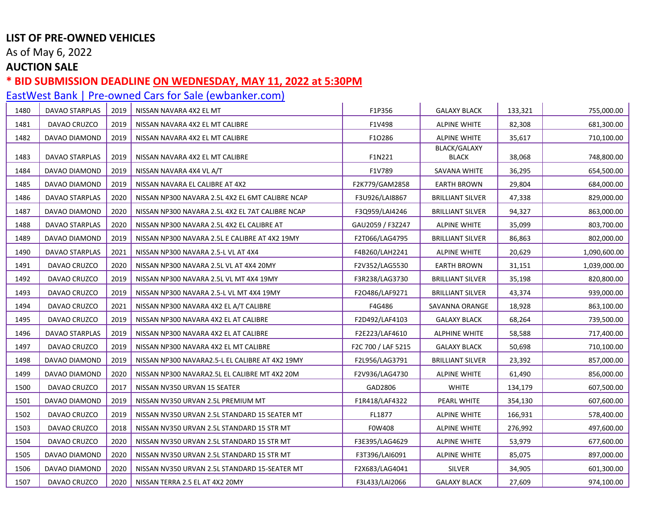As of May 6, 2022

## **AUCTION SALE**

### **\* BID SUBMISSION DEADLINE ON WEDNESDAY, MAY 11, 2022 at 5:30PM**

| 1480 | DAVAO STARPLAS | 2019 | NISSAN NAVARA 4X2 EL MT                          | F1P356             | <b>GALAXY BLACK</b>     | 133,321 | 755,000.00   |
|------|----------------|------|--------------------------------------------------|--------------------|-------------------------|---------|--------------|
| 1481 | DAVAO CRUZCO   | 2019 | NISSAN NAVARA 4X2 EL MT CALIBRE                  | F1V498             | <b>ALPINE WHITE</b>     | 82,308  | 681,300.00   |
| 1482 | DAVAO DIAMOND  | 2019 | NISSAN NAVARA 4X2 EL MT CALIBRE                  | F1O286             | <b>ALPINE WHITE</b>     | 35,617  | 710,100.00   |
| 1483 | DAVAO STARPLAS | 2019 | NISSAN NAVARA 4X2 EL MT CALIBRE                  | F1N221             | BLACK/GALAXY<br>BLACK   | 38,068  | 748,800.00   |
| 1484 | DAVAO DIAMOND  | 2019 | NISSAN NAVARA 4X4 VL A/T                         | F1V789             | SAVANA WHITE            | 36,295  | 654,500.00   |
| 1485 | DAVAO DIAMOND  | 2019 | NISSAN NAVARA EL CALIBRE AT 4X2                  | F2K779/GAM2858     | <b>EARTH BROWN</b>      | 29,804  | 684,000.00   |
| 1486 | DAVAO STARPLAS | 2020 | NISSAN NP300 NAVARA 2.5L 4X2 EL 6MT CALIBRE NCAP | F3U926/LAI8867     | <b>BRILLIANT SILVER</b> | 47,338  | 829,000.00   |
| 1487 | DAVAO DIAMOND  | 2020 | NISSAN NP300 NAVARA 2.5L 4X2 EL 7AT CALIBRE NCAP | F3Q959/LAI4246     | <b>BRILLIANT SILVER</b> | 94,327  | 863,000.00   |
| 1488 | DAVAO STARPLAS | 2020 | NISSAN NP300 NAVARA 2.5L 4X2 EL CALIBRE AT       | GAU2059 / F3Z247   | <b>ALPINE WHITE</b>     | 35,099  | 803,700.00   |
| 1489 | DAVAO DIAMOND  | 2019 | NISSAN NP300 NAVARA 2.5L E CALIBRE AT 4X2 19MY   | F2T066/LAG4795     | <b>BRILLIANT SILVER</b> | 86,863  | 802,000.00   |
| 1490 | DAVAO STARPLAS | 2021 | NISSAN NP300 NAVARA 2.5-L VL AT 4X4              | F4B260/LAH2241     | ALPINE WHITE            | 20,629  | 1,090,600.00 |
| 1491 | DAVAO CRUZCO   | 2020 | NISSAN NP300 NAVARA 2.5L VL AT 4X4 20MY          | F2V352/LAG5530     | <b>EARTH BROWN</b>      | 31,151  | 1,039,000.00 |
| 1492 | DAVAO CRUZCO   | 2019 | NISSAN NP300 NAVARA 2.5L VL MT 4X4 19MY          | F3R238/LAG3730     | <b>BRILLIANT SILVER</b> | 35,198  | 820,800.00   |
| 1493 | DAVAO CRUZCO   | 2019 | NISSAN NP300 NAVARA 2.5-L VL MT 4X4 19MY         | F2O486/LAF9271     | <b>BRILLIANT SILVER</b> | 43,374  | 939,000.00   |
| 1494 | DAVAO CRUZCO   | 2021 | NISSAN NP300 NAVARA 4X2 EL A/T CALIBRE           | F4G486             | SAVANNA ORANGE          | 18,928  | 863,100.00   |
| 1495 | DAVAO CRUZCO   | 2019 | NISSAN NP300 NAVARA 4X2 EL AT CALIBRE            | F2D492/LAF4103     | <b>GALAXY BLACK</b>     | 68,264  | 739,500.00   |
| 1496 | DAVAO STARPLAS | 2019 | NISSAN NP300 NAVARA 4X2 EL AT CALIBRE            | F2E223/LAF4610     | <b>ALPHINE WHITE</b>    | 58,588  | 717,400.00   |
| 1497 | DAVAO CRUZCO   | 2019 | NISSAN NP300 NAVARA 4X2 EL MT CALIBRE            | F2C 700 / LAF 5215 | <b>GALAXY BLACK</b>     | 50,698  | 710,100.00   |
| 1498 | DAVAO DIAMOND  | 2019 | NISSAN NP300 NAVARA2.5-L EL CALIBRE AT 4X2 19MY  | F2L956/LAG3791     | <b>BRILLIANT SILVER</b> | 23,392  | 857,000.00   |
| 1499 | DAVAO DIAMOND  | 2020 | NISSAN NP300 NAVARA2.5L EL CALIBRE MT 4X2 20M    | F2V936/LAG4730     | <b>ALPINE WHITE</b>     | 61,490  | 856,000.00   |
| 1500 | DAVAO CRUZCO   | 2017 | NISSAN NV350 URVAN 15 SEATER                     | GAD2806            | <b>WHITE</b>            | 134,179 | 607,500.00   |
| 1501 | DAVAO DIAMOND  | 2019 | NISSAN NV350 URVAN 2.5L PREMIUM MT               | F1R418/LAF4322     | PEARL WHITE             | 354,130 | 607,600.00   |
| 1502 | DAVAO CRUZCO   | 2019 | NISSAN NV350 URVAN 2.5L STANDARD 15 SEATER MT    | FL1877             | ALPINE WHITE            | 166,931 | 578,400.00   |
| 1503 | DAVAO CRUZCO   | 2018 | NISSAN NV350 URVAN 2.5L STANDARD 15 STR MT       | F0W408             | <b>ALPINE WHITE</b>     | 276,992 | 497,600.00   |
| 1504 | DAVAO CRUZCO   | 2020 | NISSAN NV350 URVAN 2.5L STANDARD 15 STR MT       | F3E395/LAG4629     | <b>ALPINE WHITE</b>     | 53,979  | 677,600.00   |
| 1505 | DAVAO DIAMOND  | 2020 | NISSAN NV350 URVAN 2.5L STANDARD 15 STR MT       | F3T396/LAI6091     | <b>ALPINE WHITE</b>     | 85,075  | 897,000.00   |
| 1506 | DAVAO DIAMOND  | 2020 | NISSAN NV350 URVAN 2.5L STANDARD 15-SEATER MT    | F2X683/LAG4041     | SILVER                  | 34,905  | 601,300.00   |
| 1507 | DAVAO CRUZCO   | 2020 | NISSAN TERRA 2.5 EL AT 4X2 20MY                  | F3L433/LAI2066     | <b>GALAXY BLACK</b>     | 27,609  | 974,100.00   |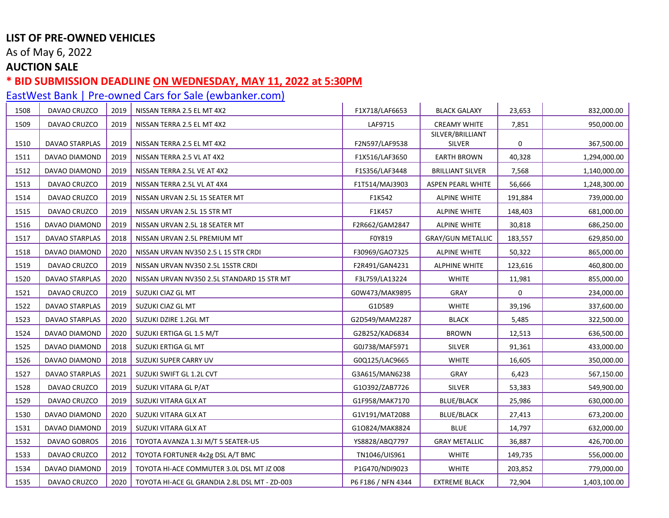As of May 6, 2022

## **AUCTION SALE**

### **\* BID SUBMISSION DEADLINE ON WEDNESDAY, MAY 11, 2022 at 5:30PM**

| 1508 | DAVAO CRUZCO          | 2019 | NISSAN TERRA 2.5 EL MT 4X2                    | F1X718/LAF6653     | <b>BLACK GALAXY</b>        | 23,653      | 832,000.00   |
|------|-----------------------|------|-----------------------------------------------|--------------------|----------------------------|-------------|--------------|
| 1509 | DAVAO CRUZCO          | 2019 | NISSAN TERRA 2.5 EL MT 4X2                    | LAF9715            | <b>CREAMY WHITE</b>        | 7,851       | 950,000.00   |
| 1510 | DAVAO STARPLAS        | 2019 | NISSAN TERRA 2.5 EL MT 4X2                    | F2N597/LAF9538     | SILVER/BRILLIANT<br>SILVER | 0           | 367,500.00   |
|      |                       |      |                                               |                    |                            |             |              |
| 1511 | DAVAO DIAMOND         | 2019 | NISSAN TERRA 2.5 VL AT 4X2                    | F1X516/LAF3650     | <b>EARTH BROWN</b>         | 40,328      | 1,294,000.00 |
| 1512 | DAVAO DIAMOND         | 2019 | NISSAN TERRA 2.5L VE AT 4X2                   | F1S356/LAF3448     | <b>BRILLIANT SILVER</b>    | 7,568       | 1,140,000.00 |
| 1513 | DAVAO CRUZCO          | 2019 | NISSAN TERRA 2.5L VL AT 4X4                   | F1T514/MAJ3903     | <b>ASPEN PEARL WHITE</b>   | 56,666      | 1,248,300.00 |
| 1514 | DAVAO CRUZCO          | 2019 | NISSAN URVAN 2.5L 15 SEATER MT                | F1K542             | <b>ALPINE WHITE</b>        | 191,884     | 739,000.00   |
| 1515 | DAVAO CRUZCO          | 2019 | NISSAN URVAN 2.5L 15 STR MT                   | F1K457             | <b>ALPINE WHITE</b>        | 148,403     | 681,000.00   |
| 1516 | DAVAO DIAMOND         | 2019 | NISSAN URVAN 2.5L 18 SEATER MT                | F2R662/GAM2847     | <b>ALPINE WHITE</b>        | 30,818      | 686,250.00   |
| 1517 | <b>DAVAO STARPLAS</b> | 2018 | NISSAN URVAN 2.5L PREMIUM MT                  | F0Y819             | <b>GRAY/GUN METALLIC</b>   | 183,557     | 629,850.00   |
| 1518 | DAVAO DIAMOND         | 2020 | NISSAN URVAN NV350 2.5 L 15 STR CRDI          | F30969/GAO7325     | <b>ALPINE WHITE</b>        | 50,322      | 865,000.00   |
| 1519 | DAVAO CRUZCO          | 2019 | NISSAN URVAN NV350 2.5L 15STR CRDI            | F2R491/GAN4231     | <b>ALPHINE WHITE</b>       | 123,616     | 460,800.00   |
| 1520 | DAVAO STARPLAS        | 2020 | NISSAN URVAN NV350 2.5L STANDARD 15 STR MT    | F3L759/LA13224     | <b>WHITE</b>               | 11,981      | 855,000.00   |
| 1521 | DAVAO CRUZCO          | 2019 | SUZUKI CIAZ GL MT                             | G0W473/MAK9895     | <b>GRAY</b>                | $\mathbf 0$ | 234,000.00   |
| 1522 | DAVAO STARPLAS        | 2019 | SUZUKI CIAZ GL MT                             | G1D589             | <b>WHITE</b>               | 39,196      | 337,600.00   |
| 1523 | DAVAO STARPLAS        | 2020 | SUZUKI DZIRE 1.2GL MT                         | G2D549/MAM2287     | <b>BLACK</b>               | 5,485       | 322,500.00   |
| 1524 | DAVAO DIAMOND         | 2020 | SUZUKI ERTIGA GL 1.5 M/T                      | G2B252/KAD6834     | <b>BROWN</b>               | 12,513      | 636,500.00   |
| 1525 | DAVAO DIAMOND         | 2018 | SUZUKI ERTIGA GL MT                           | G0J738/MAF5971     | <b>SILVER</b>              | 91,361      | 433,000.00   |
| 1526 | DAVAO DIAMOND         | 2018 | SUZUKI SUPER CARRY UV                         | G0Q125/LAC9665     | WHITE                      | 16,605      | 350,000.00   |
| 1527 | <b>DAVAO STARPLAS</b> | 2021 | SUZUKI SWIFT GL 1.2L CVT                      | G3A615/MAN6238     | <b>GRAY</b>                | 6,423       | 567,150.00   |
| 1528 | DAVAO CRUZCO          | 2019 | SUZUKI VITARA GL P/AT                         | G10392/ZAB7726     | <b>SILVER</b>              | 53,383      | 549,900.00   |
| 1529 | DAVAO CRUZCO          | 2019 | SUZUKI VITARA GLX AT                          | G1F958/MAK7170     | <b>BLUE/BLACK</b>          | 25,986      | 630,000.00   |
| 1530 | DAVAO DIAMOND         | 2020 | SUZUKI VITARA GLX AT                          | G1V191/MAT2088     | BLUE/BLACK                 | 27,413      | 673,200.00   |
| 1531 | DAVAO DIAMOND         | 2019 | SUZUKI VITARA GLX AT                          | G10824/MAK8824     | <b>BLUE</b>                | 14,797      | 632,000.00   |
| 1532 | DAVAO GOBROS          | 2016 | TOYOTA AVANZA 1.3J M/T 5 SEATER-U5            | YS8828/ABQ7797     | <b>GRAY METALLIC</b>       | 36,887      | 426,700.00   |
| 1533 | DAVAO CRUZCO          | 2012 | TOYOTA FORTUNER 4x2g DSL A/T BMC              | TN1046/UIS961      | <b>WHITE</b>               | 149,735     | 556,000.00   |
| 1534 | DAVAO DIAMOND         | 2019 | TOYOTA HI-ACE COMMUTER 3.0L DSL MT JZ 008     | P1G470/NDI9023     | <b>WHITE</b>               | 203,852     | 779,000.00   |
| 1535 | DAVAO CRUZCO          | 2020 | TOYOTA HI-ACE GL GRANDIA 2.8L DSL MT - ZD-003 | P6 F186 / NFN 4344 | <b>EXTREME BLACK</b>       | 72,904      | 1,403,100.00 |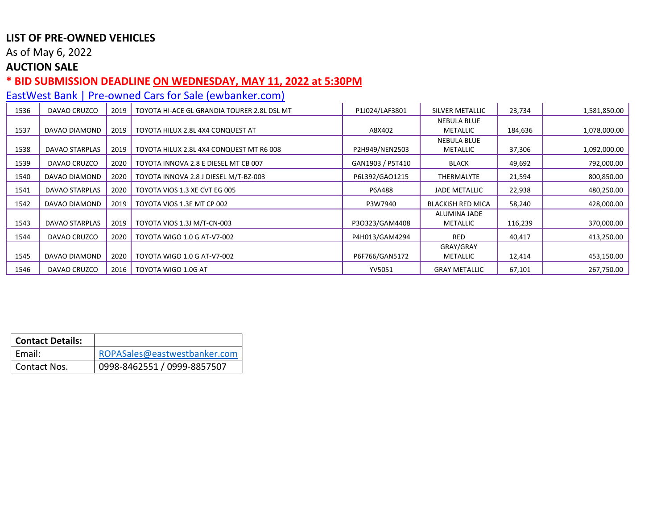As of May 6, 2022

## **AUCTION SALE**

### **\* BID SUBMISSION DEADLINE ON WEDNESDAY, MAY 11, 2022 at 5:30PM**

| 1536 | DAVAO CRUZCO          | 2019 | TOYOTA HI-ACE GL GRANDIA TOURER 2.8L DSL MT | P1J024/LAF3801   | SILVER METALLIC          | 23,734  | 1,581,850.00 |
|------|-----------------------|------|---------------------------------------------|------------------|--------------------------|---------|--------------|
|      |                       |      |                                             |                  | <b>NEBULA BLUE</b>       |         |              |
| 1537 | DAVAO DIAMOND         | 2019 | TOYOTA HILUX 2.8L 4X4 CONQUEST AT           | A8X402           | METALLIC                 | 184,636 | 1,078,000.00 |
|      |                       |      |                                             |                  | <b>NEBULA BLUE</b>       |         |              |
| 1538 | DAVAO STARPLAS        | 2019 | TOYOTA HILUX 2.8L 4X4 CONQUEST MT R6 008    | P2H949/NEN2503   | METALLIC                 | 37,306  | 1,092,000.00 |
| 1539 | DAVAO CRUZCO          | 2020 | TOYOTA INNOVA 2.8 E DIESEL MT CB 007        | GAN1903 / P5T410 | <b>BLACK</b>             | 49,692  | 792,000.00   |
| 1540 | DAVAO DIAMOND         | 2020 | TOYOTA INNOVA 2.8 J DIESEL M/T-BZ-003       | P6L392/GAO1215   | THERMALYTE               | 21,594  | 800,850.00   |
| 1541 | <b>DAVAO STARPLAS</b> | 2020 | TOYOTA VIOS 1.3 XE CVT EG 005               | P6A488           | <b>JADE METALLIC</b>     | 22,938  | 480,250.00   |
| 1542 | DAVAO DIAMOND         | 2019 | TOYOTA VIOS 1.3E MT CP 002                  | P3W7940          | <b>BLACKISH RED MICA</b> | 58,240  | 428,000.00   |
|      |                       |      |                                             |                  | ALUMINA JADE             |         |              |
| 1543 | DAVAO STARPLAS        | 2019 | TOYOTA VIOS 1.3J M/T-CN-003                 | P3O323/GAM4408   | METALLIC                 | 116,239 | 370,000.00   |
| 1544 | DAVAO CRUZCO          | 2020 | TOYOTA WIGO 1.0 G AT-V7-002                 | P4H013/GAM4294   | <b>RED</b>               | 40,417  | 413,250.00   |
|      |                       |      |                                             |                  | GRAY/GRAY                |         |              |
| 1545 | DAVAO DIAMOND         | 2020 | TOYOTA WIGO 1.0 G AT-V7-002                 | P6F766/GAN5172   | METALLIC                 | 12,414  | 453,150.00   |
| 1546 | DAVAO CRUZCO          | 2016 | TOYOTA WIGO 1.0G AT                         | YV5051           | <b>GRAY METALLIC</b>     | 67,101  | 267,750.00   |

| <b>Contact Details:</b> |                              |
|-------------------------|------------------------------|
| Email:                  | ROPASales@eastwestbanker.com |
| Contact Nos.            | 0998-8462551 / 0999-8857507  |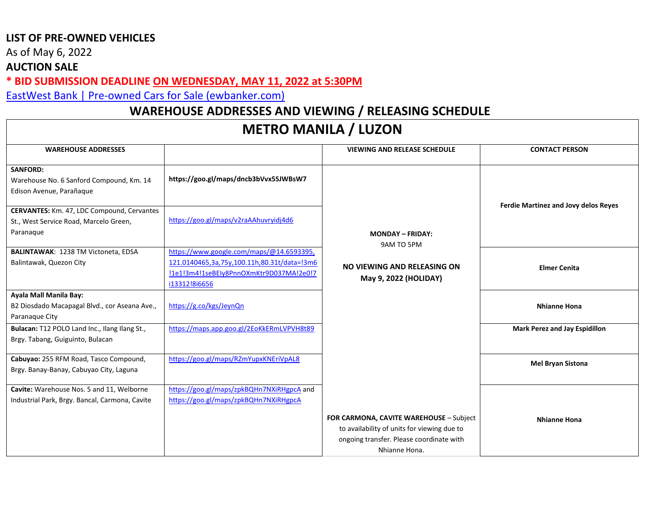As of May 6, 2022

### **AUCTION SALE**

**\* BID SUBMISSION DEADLINE ON WEDNESDAY, MAY 11, 2022 at 5:30PM** 

[EastWest Bank | Pre-owned Cars for Sale \(ewbanker.com\)](https://www.ewbanker.com/Loans/PreOwned/Cars)

## **WAREHOUSE ADDRESSES AND VIEWING / RELEASING SCHEDULE**

# **METRO MANILA / LUZON**

| <b>WAREHOUSE ADDRESSES</b>                     |                                             | <b>VIEWING AND RELEASE SCHEDULE</b>         | <b>CONTACT PERSON</b>                |
|------------------------------------------------|---------------------------------------------|---------------------------------------------|--------------------------------------|
| <b>SANFORD:</b>                                |                                             |                                             |                                      |
| Warehouse No. 6 Sanford Compound, Km. 14       | https://goo.gl/maps/dncb3bVvx5SJWBsW7       |                                             |                                      |
| Edison Avenue, Parañaque                       |                                             |                                             |                                      |
|                                                |                                             |                                             | Ferdie Martinez and Jovy delos Reyes |
| CERVANTES: Km. 47, LDC Compound, Cervantes     |                                             |                                             |                                      |
| St., West Service Road, Marcelo Green,         | https://goo.gl/maps/v2raAAhuvryidj4d6       |                                             |                                      |
| Paranaque                                      |                                             | <b>MONDAY - FRIDAY:</b>                     |                                      |
|                                                |                                             | 9AM TO 5PM                                  |                                      |
| <b>BALINTAWAK: 1238 TM Victoneta, EDSA</b>     | https://www.google.com/maps/@14.6593395,    |                                             |                                      |
| Balintawak, Quezon City                        | 121.0140465,3a,75y,100.11h,80.31t/data=!3m6 | NO VIEWING AND RELEASING ON                 | <b>Elmer Cenita</b>                  |
|                                                | !1e1!3m4!1seBEIy8PnnOXmKtr9D037MA!2e0!7     |                                             |                                      |
|                                                | i13312!8i6656                               | May 9, 2022 (HOLIDAY)                       |                                      |
| Ayala Mall Manila Bay:                         |                                             |                                             |                                      |
| B2 Diosdado Macapagal Blvd., cor Aseana Ave.,  | https://g.co/kgs/JeynQn                     |                                             | Nhianne Hona                         |
| Paranaque City                                 |                                             |                                             |                                      |
| Bulacan: T12 POLO Land Inc., Ilang Ilang St.,  | https://maps.app.goo.gl/2EoKkERmLVPVH8t89   |                                             | Mark Perez and Jay Espidillon        |
| Brgy. Tabang, Guiguinto, Bulacan               |                                             |                                             |                                      |
|                                                |                                             |                                             |                                      |
| Cabuyao: 255 RFM Road, Tasco Compound,         | https://goo.gl/maps/RZmYupxKNEriVpAL8       |                                             | <b>Mel Bryan Sistona</b>             |
| Brgy. Banay-Banay, Cabuyao City, Laguna        |                                             |                                             |                                      |
|                                                | https://goo.gl/maps/zpkBQHn7NXiRHgpcA and   |                                             |                                      |
| Cavite: Warehouse Nos. 5 and 11, Welborne      |                                             |                                             |                                      |
| Industrial Park, Brgy. Bancal, Carmona, Cavite | https://goo.gl/maps/zpkBQHn7NXiRHgpcA       |                                             |                                      |
|                                                |                                             | FOR CARMONA, CAVITE WAREHOUSE - Subject     | Nhianne Hona                         |
|                                                |                                             | to availability of units for viewing due to |                                      |
|                                                |                                             | ongoing transfer. Please coordinate with    |                                      |
|                                                |                                             | Nhianne Hona.                               |                                      |
|                                                |                                             |                                             |                                      |